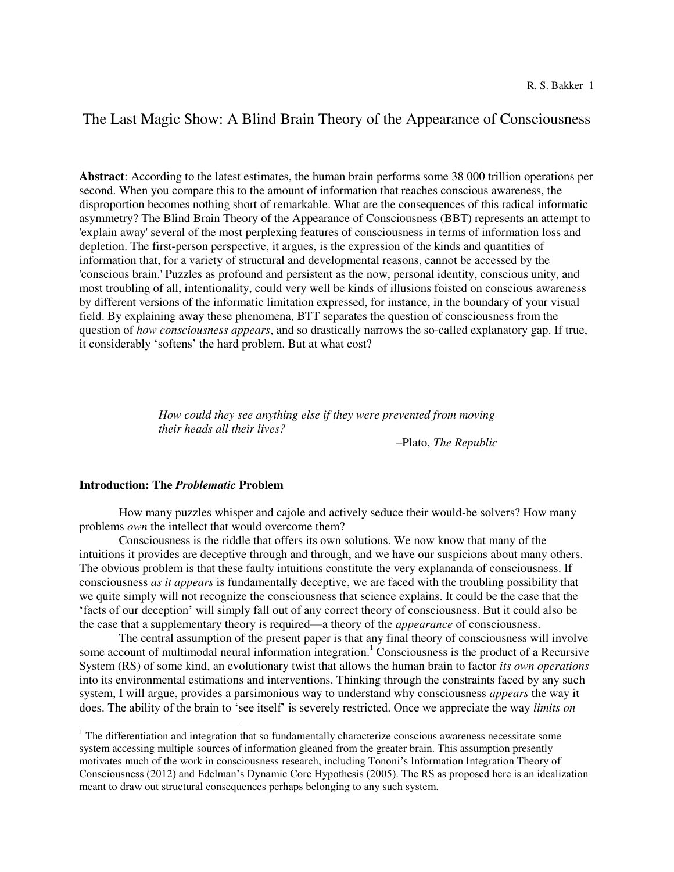# The Last Magic Show: A Blind Brain Theory of the Appearance of Consciousness

**Abstract**: According to the latest estimates, the human brain performs some 38 000 trillion operations per second. When you compare this to the amount of information that reaches conscious awareness, the disproportion becomes nothing short of remarkable. What are the consequences of this radical informatic asymmetry? The Blind Brain Theory of the Appearance of Consciousness (BBT) represents an attempt to 'explain away' several of the most perplexing features of consciousness in terms of information loss and depletion. The first-person perspective, it argues, is the expression of the kinds and quantities of information that, for a variety of structural and developmental reasons, cannot be accessed by the 'conscious brain.' Puzzles as profound and persistent as the now, personal identity, conscious unity, and most troubling of all, intentionality, could very well be kinds of illusions foisted on conscious awareness by different versions of the informatic limitation expressed, for instance, in the boundary of your visual field. By explaining away these phenomena, BTT separates the question of consciousness from the question of *how consciousness appears*, and so drastically narrows the so-called explanatory gap. If true, it considerably 'softens' the hard problem. But at what cost?

> *How could they see anything else if they were prevented from moving their heads all their lives?*

> > –Plato, *The Republic*

# **Introduction: The** *Problematic* **Problem**

 $\overline{a}$ 

 How many puzzles whisper and cajole and actively seduce their would-be solvers? How many problems *own* the intellect that would overcome them?

 Consciousness is the riddle that offers its own solutions. We now know that many of the intuitions it provides are deceptive through and through, and we have our suspicions about many others. The obvious problem is that these faulty intuitions constitute the very explananda of consciousness. If consciousness *as it appears* is fundamentally deceptive, we are faced with the troubling possibility that we quite simply will not recognize the consciousness that science explains. It could be the case that the 'facts of our deception' will simply fall out of any correct theory of consciousness. But it could also be the case that a supplementary theory is required—a theory of the *appearance* of consciousness.

 The central assumption of the present paper is that any final theory of consciousness will involve some account of multimodal neural information integration.<sup>1</sup> Consciousness is the product of a Recursive System (RS) of some kind, an evolutionary twist that allows the human brain to factor *its own operations*  into its environmental estimations and interventions. Thinking through the constraints faced by any such system, I will argue, provides a parsimonious way to understand why consciousness *appears* the way it does. The ability of the brain to 'see itself' is severely restricted. Once we appreciate the way *limits on* 

 $1$  The differentiation and integration that so fundamentally characterize conscious awareness necessitate some system accessing multiple sources of information gleaned from the greater brain. This assumption presently motivates much of the work in consciousness research, including Tononi's Information Integration Theory of Consciousness (2012) and Edelman's Dynamic Core Hypothesis (2005). The RS as proposed here is an idealization meant to draw out structural consequences perhaps belonging to any such system.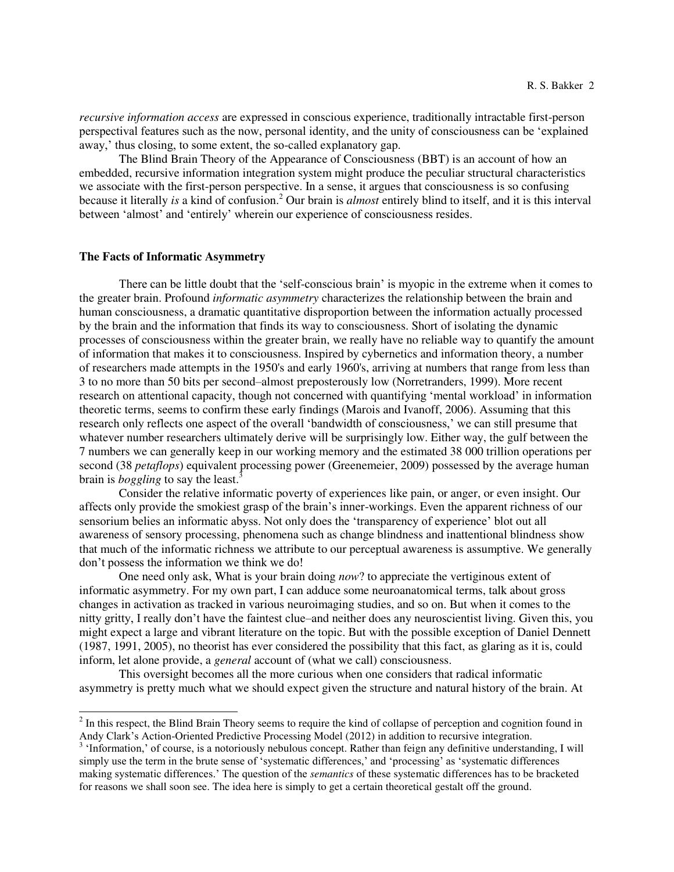*recursive information access* are expressed in conscious experience, traditionally intractable first-person perspectival features such as the now, personal identity, and the unity of consciousness can be 'explained away,' thus closing, to some extent, the so-called explanatory gap.

The Blind Brain Theory of the Appearance of Consciousness (BBT) is an account of how an embedded, recursive information integration system might produce the peculiar structural characteristics we associate with the first-person perspective. In a sense, it argues that consciousness is so confusing because it literally *is* a kind of confusion.<sup>2</sup> Our brain is *almost* entirely blind to itself, and it is this interval between 'almost' and 'entirely' wherein our experience of consciousness resides.

#### **The Facts of Informatic Asymmetry**

 $\overline{a}$ 

There can be little doubt that the 'self-conscious brain' is myopic in the extreme when it comes to the greater brain. Profound *informatic asymmetry* characterizes the relationship between the brain and human consciousness, a dramatic quantitative disproportion between the information actually processed by the brain and the information that finds its way to consciousness. Short of isolating the dynamic processes of consciousness within the greater brain, we really have no reliable way to quantify the amount of information that makes it to consciousness. Inspired by cybernetics and information theory, a number of researchers made attempts in the 1950's and early 1960's, arriving at numbers that range from less than 3 to no more than 50 bits per second–almost preposterously low (Norretranders, 1999). More recent research on attentional capacity, though not concerned with quantifying 'mental workload' in information theoretic terms, seems to confirm these early findings (Marois and Ivanoff, 2006). Assuming that this research only reflects one aspect of the overall 'bandwidth of consciousness,' we can still presume that whatever number researchers ultimately derive will be surprisingly low. Either way, the gulf between the 7 numbers we can generally keep in our working memory and the estimated 38 000 trillion operations per second (38 *petaflops*) equivalent processing power (Greenemeier, 2009) possessed by the average human brain is *boggling* to say the least.<sup>3</sup>

Consider the relative informatic poverty of experiences like pain, or anger, or even insight. Our affects only provide the smokiest grasp of the brain's inner-workings. Even the apparent richness of our sensorium belies an informatic abyss. Not only does the 'transparency of experience' blot out all awareness of sensory processing, phenomena such as change blindness and inattentional blindness show that much of the informatic richness we attribute to our perceptual awareness is assumptive. We generally don't possess the information we think we do!

 One need only ask, What is your brain doing *now*? to appreciate the vertiginous extent of informatic asymmetry. For my own part, I can adduce some neuroanatomical terms, talk about gross changes in activation as tracked in various neuroimaging studies, and so on. But when it comes to the nitty gritty, I really don't have the faintest clue–and neither does any neuroscientist living. Given this, you might expect a large and vibrant literature on the topic. But with the possible exception of Daniel Dennett (1987, 1991, 2005), no theorist has ever considered the possibility that this fact, as glaring as it is, could inform, let alone provide, a *general* account of (what we call) consciousness.

 This oversight becomes all the more curious when one considers that radical informatic asymmetry is pretty much what we should expect given the structure and natural history of the brain. At

 $2<sup>2</sup>$  In this respect, the Blind Brain Theory seems to require the kind of collapse of perception and cognition found in Andy Clark's Action-Oriented Predictive Processing Model (2012) in addition to recursive integration.

<sup>&</sup>lt;sup>3</sup> 'Information,' of course, is a notoriously nebulous concept. Rather than feign any definitive understanding, I will simply use the term in the brute sense of 'systematic differences,' and 'processing' as 'systematic differences making systematic differences.' The question of the *semantics* of these systematic differences has to be bracketed for reasons we shall soon see. The idea here is simply to get a certain theoretical gestalt off the ground.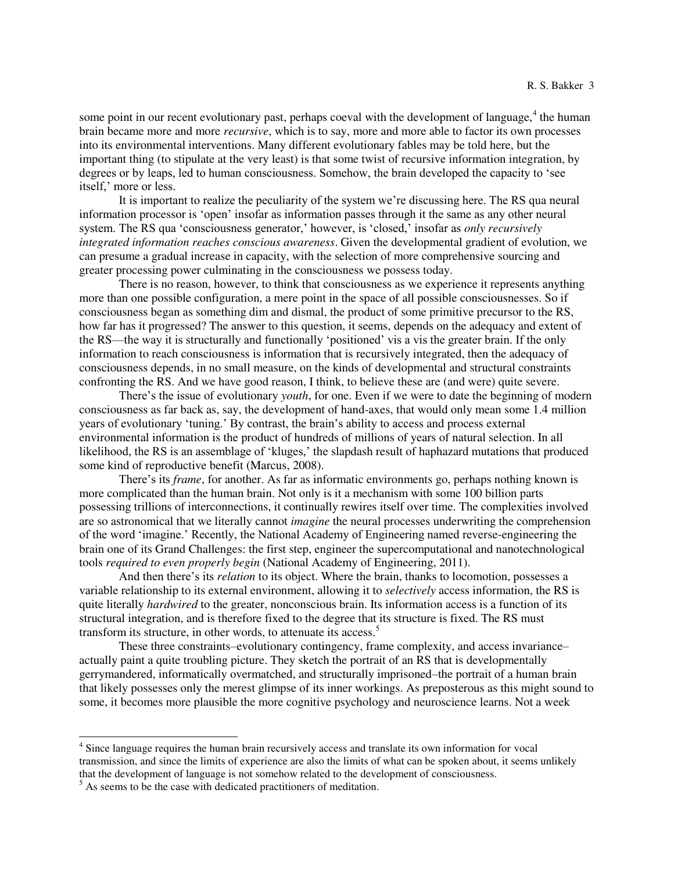some point in our recent evolutionary past, perhaps coeval with the development of language,<sup>4</sup> the human brain became more and more *recursive*, which is to say, more and more able to factor its own processes into its environmental interventions. Many different evolutionary fables may be told here, but the important thing (to stipulate at the very least) is that some twist of recursive information integration, by degrees or by leaps, led to human consciousness. Somehow, the brain developed the capacity to 'see itself,' more or less.

It is important to realize the peculiarity of the system we're discussing here. The RS qua neural information processor is 'open' insofar as information passes through it the same as any other neural system. The RS qua 'consciousness generator,' however, is 'closed,' insofar as *only recursively integrated information reaches conscious awareness*. Given the developmental gradient of evolution, we can presume a gradual increase in capacity, with the selection of more comprehensive sourcing and greater processing power culminating in the consciousness we possess today.

There is no reason, however, to think that consciousness as we experience it represents anything more than one possible configuration, a mere point in the space of all possible consciousnesses. So if consciousness began as something dim and dismal, the product of some primitive precursor to the RS, how far has it progressed? The answer to this question, it seems, depends on the adequacy and extent of the RS—the way it is structurally and functionally 'positioned' vis a vis the greater brain. If the only information to reach consciousness is information that is recursively integrated, then the adequacy of consciousness depends, in no small measure, on the kinds of developmental and structural constraints confronting the RS. And we have good reason, I think, to believe these are (and were) quite severe.

There's the issue of evolutionary *youth*, for one. Even if we were to date the beginning of modern consciousness as far back as, say, the development of hand-axes, that would only mean some 1.4 million years of evolutionary 'tuning.' By contrast, the brain's ability to access and process external environmental information is the product of hundreds of millions of years of natural selection. In all likelihood, the RS is an assemblage of 'kluges,' the slapdash result of haphazard mutations that produced some kind of reproductive benefit (Marcus, 2008).

There's its *frame*, for another. As far as informatic environments go, perhaps nothing known is more complicated than the human brain. Not only is it a mechanism with some 100 billion parts possessing trillions of interconnections, it continually rewires itself over time. The complexities involved are so astronomical that we literally cannot *imagine* the neural processes underwriting the comprehension of the word 'imagine.' Recently, the National Academy of Engineering named reverse-engineering the brain one of its Grand Challenges: the first step, engineer the supercomputational and nanotechnological tools *required to even properly begin* (National Academy of Engineering, 2011).

And then there's its *relation* to its object. Where the brain, thanks to locomotion, possesses a variable relationship to its external environment, allowing it to *selectively* access information, the RS is quite literally *hardwired* to the greater, nonconscious brain. Its information access is a function of its structural integration, and is therefore fixed to the degree that its structure is fixed. The RS must transform its structure, in other words, to attenuate its access.<sup>5</sup>

 These three constraints–evolutionary contingency, frame complexity, and access invariance– actually paint a quite troubling picture. They sketch the portrait of an RS that is developmentally gerrymandered, informatically overmatched, and structurally imprisoned–the portrait of a human brain that likely possesses only the merest glimpse of its inner workings. As preposterous as this might sound to some, it becomes more plausible the more cognitive psychology and neuroscience learns. Not a week

<sup>&</sup>lt;sup>4</sup> Since language requires the human brain recursively access and translate its own information for vocal transmission, and since the limits of experience are also the limits of what can be spoken about, it seems unlikely that the development of language is not somehow related to the development of consciousness.

<sup>&</sup>lt;sup>5</sup> As seems to be the case with dedicated practitioners of meditation.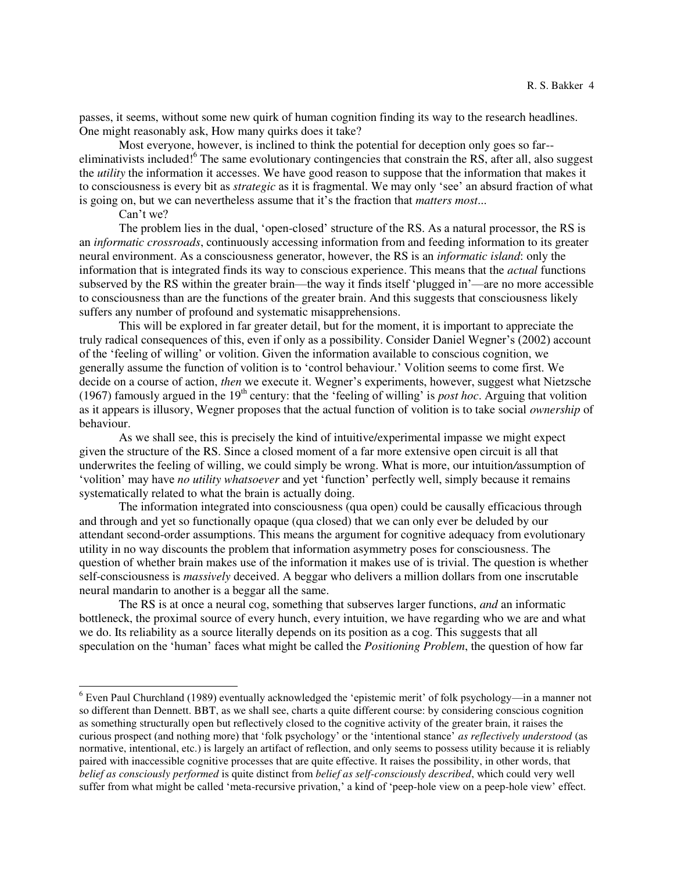passes, it seems, without some new quirk of human cognition finding its way to the research headlines. One might reasonably ask, How many quirks does it take?

Most everyone, however, is inclined to think the potential for deception only goes so far- eliminativists included!<sup>6</sup> The same evolutionary contingencies that constrain the RS, after all, also suggest the *utility* the information it accesses. We have good reason to suppose that the information that makes it to consciousness is every bit as *strategic* as it is fragmental. We may only 'see' an absurd fraction of what is going on, but we can nevertheless assume that it's the fraction that *matters most*...

Can't we?

 $\overline{a}$ 

The problem lies in the dual, 'open-closed' structure of the RS. As a natural processor, the RS is an *informatic crossroads*, continuously accessing information from and feeding information to its greater neural environment. As a consciousness generator, however, the RS is an *informatic island*: only the information that is integrated finds its way to conscious experience. This means that the *actual* functions subserved by the RS within the greater brain—the way it finds itself 'plugged in'—are no more accessible to consciousness than are the functions of the greater brain. And this suggests that consciousness likely suffers any number of profound and systematic misapprehensions.

 This will be explored in far greater detail, but for the moment, it is important to appreciate the truly radical consequences of this, even if only as a possibility. Consider Daniel Wegner's (2002) account of the 'feeling of willing' or volition. Given the information available to conscious cognition, we generally assume the function of volition is to 'control behaviour.' Volition seems to come first. We decide on a course of action, *then* we execute it. Wegner's experiments, however, suggest what Nietzsche (1967) famously argued in the 19<sup>th</sup> century: that the 'feeling of willing' is *post hoc*. Arguing that volition as it appears is illusory, Wegner proposes that the actual function of volition is to take social *ownership* of behaviour.

 As we shall see, this is precisely the kind of intuitive/experimental impasse we might expect given the structure of the RS. Since a closed moment of a far more extensive open circuit is all that underwrites the feeling of willing, we could simply be wrong. What is more, our intuition*/*assumption of 'volition' may have *no utility whatsoever* and yet 'function' perfectly well, simply because it remains systematically related to what the brain is actually doing.

The information integrated into consciousness (qua open) could be causally efficacious through and through and yet so functionally opaque (qua closed) that we can only ever be deluded by our attendant second-order assumptions. This means the argument for cognitive adequacy from evolutionary utility in no way discounts the problem that information asymmetry poses for consciousness. The question of whether brain makes use of the information it makes use of is trivial. The question is whether self-consciousness is *massively* deceived. A beggar who delivers a million dollars from one inscrutable neural mandarin to another is a beggar all the same.

 The RS is at once a neural cog, something that subserves larger functions, *and* an informatic bottleneck, the proximal source of every hunch, every intuition, we have regarding who we are and what we do. Its reliability as a source literally depends on its position as a cog. This suggests that all speculation on the 'human' faces what might be called the *Positioning Problem*, the question of how far

 $6$  Even Paul Churchland (1989) eventually acknowledged the 'epistemic merit' of folk psychology—in a manner not so different than Dennett. BBT, as we shall see, charts a quite different course: by considering conscious cognition as something structurally open but reflectively closed to the cognitive activity of the greater brain, it raises the curious prospect (and nothing more) that 'folk psychology' or the 'intentional stance' *as reflectively understood* (as normative, intentional, etc.) is largely an artifact of reflection, and only seems to possess utility because it is reliably paired with inaccessible cognitive processes that are quite effective. It raises the possibility, in other words, that *belief as consciously performed* is quite distinct from *belief as self-consciously described*, which could very well suffer from what might be called 'meta-recursive privation,' a kind of 'peep-hole view on a peep-hole view' effect.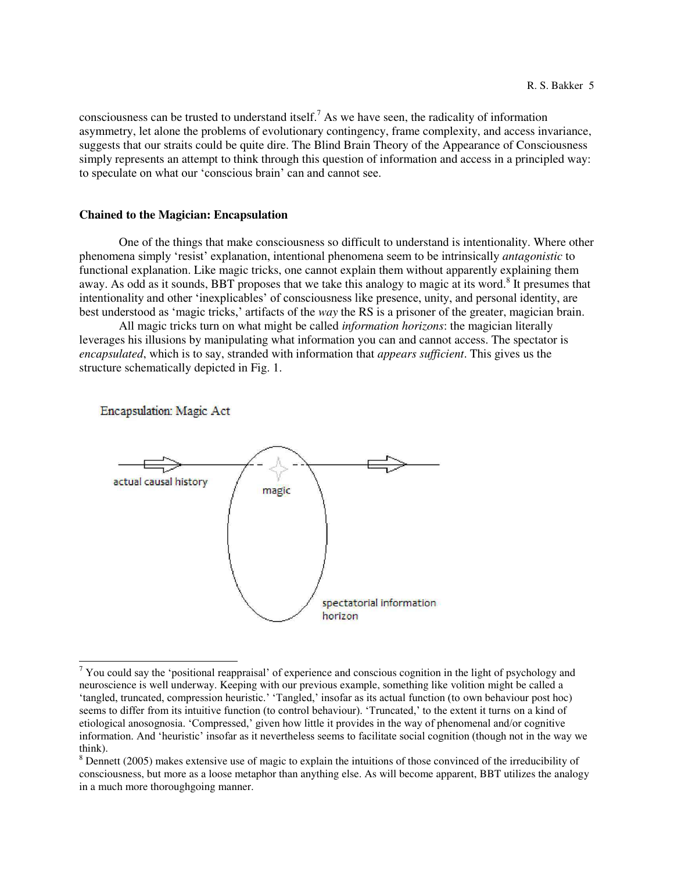consciousness can be trusted to understand itself.<sup>7</sup> As we have seen, the radicality of information asymmetry, let alone the problems of evolutionary contingency, frame complexity, and access invariance, suggests that our straits could be quite dire. The Blind Brain Theory of the Appearance of Consciousness simply represents an attempt to think through this question of information and access in a principled way: to speculate on what our 'conscious brain' can and cannot see.

### **Chained to the Magician: Encapsulation**

 One of the things that make consciousness so difficult to understand is intentionality. Where other phenomena simply 'resist' explanation, intentional phenomena seem to be intrinsically *antagonistic* to functional explanation. Like magic tricks, one cannot explain them without apparently explaining them away. As odd as it sounds, BBT proposes that we take this analogy to magic at its word.<sup>8</sup> It presumes that intentionality and other 'inexplicables' of consciousness like presence, unity, and personal identity, are best understood as 'magic tricks,' artifacts of the *way* the RS is a prisoner of the greater, magician brain.

 All magic tricks turn on what might be called *information horizons*: the magician literally leverages his illusions by manipulating what information you can and cannot access. The spectator is *encapsulated*, which is to say, stranded with information that *appears sufficient*. This gives us the structure schematically depicted in Fig. 1.

Encapsulation: Magic Act



<sup>&</sup>lt;sup>7</sup> You could say the 'positional reappraisal' of experience and conscious cognition in the light of psychology and neuroscience is well underway. Keeping with our previous example, something like volition might be called a 'tangled, truncated, compression heuristic.' 'Tangled,' insofar as its actual function (to own behaviour post hoc) seems to differ from its intuitive function (to control behaviour). 'Truncated,' to the extent it turns on a kind of etiological anosognosia. 'Compressed,' given how little it provides in the way of phenomenal and/or cognitive information. And 'heuristic' insofar as it nevertheless seems to facilitate social cognition (though not in the way we think).

 $8$  Dennett (2005) makes extensive use of magic to explain the intuitions of those convinced of the irreducibility of consciousness, but more as a loose metaphor than anything else. As will become apparent, BBT utilizes the analogy in a much more thoroughgoing manner.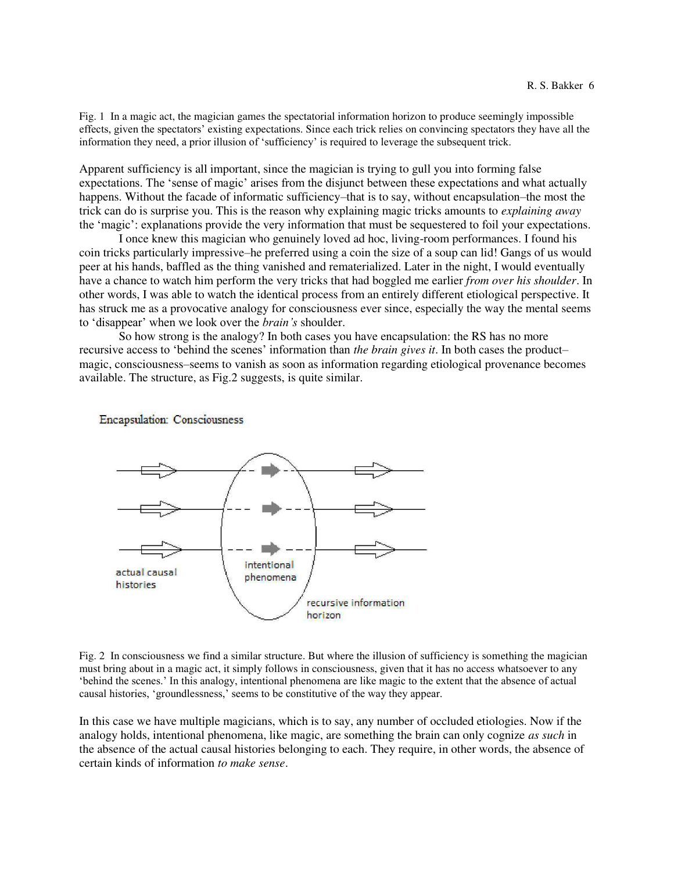Fig. 1 In a magic act, the magician games the spectatorial information horizon to produce seemingly impossible effects, given the spectators' existing expectations. Since each trick relies on convincing spectators they have all the information they need, a prior illusion of 'sufficiency' is required to leverage the subsequent trick.

Apparent sufficiency is all important, since the magician is trying to gull you into forming false expectations. The 'sense of magic' arises from the disjunct between these expectations and what actually happens. Without the facade of informatic sufficiency–that is to say, without encapsulation–the most the trick can do is surprise you. This is the reason why explaining magic tricks amounts to *explaining away*  the 'magic': explanations provide the very information that must be sequestered to foil your expectations.

 I once knew this magician who genuinely loved ad hoc, living-room performances. I found his coin tricks particularly impressive–he preferred using a coin the size of a soup can lid! Gangs of us would peer at his hands, baffled as the thing vanished and rematerialized. Later in the night, I would eventually have a chance to watch him perform the very tricks that had boggled me earlier *from over his shoulder*. In other words, I was able to watch the identical process from an entirely different etiological perspective. It has struck me as a provocative analogy for consciousness ever since, especially the way the mental seems to 'disappear' when we look over the *brain's* shoulder.

So how strong is the analogy? In both cases you have encapsulation: the RS has no more recursive access to 'behind the scenes' information than *the brain gives it*. In both cases the product– magic, consciousness–seems to vanish as soon as information regarding etiological provenance becomes available. The structure, as Fig.2 suggests, is quite similar.

**Encapsulation: Consciousness** 



Fig. 2 In consciousness we find a similar structure. But where the illusion of sufficiency is something the magician must bring about in a magic act, it simply follows in consciousness, given that it has no access whatsoever to any 'behind the scenes.' In this analogy, intentional phenomena are like magic to the extent that the absence of actual causal histories, 'groundlessness,' seems to be constitutive of the way they appear.

In this case we have multiple magicians, which is to say, any number of occluded etiologies. Now if the analogy holds, intentional phenomena, like magic, are something the brain can only cognize *as such* in the absence of the actual causal histories belonging to each. They require, in other words, the absence of certain kinds of information *to make sense*.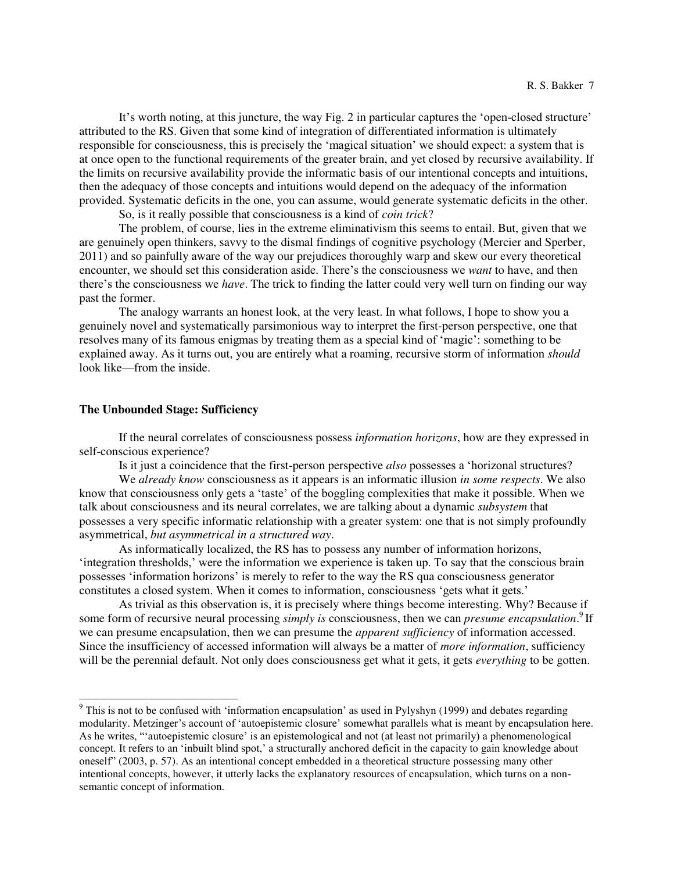It's worth noting, at this juncture, the way Fig. 2 in particular captures the 'open-closed structure' attributed to the RS. Given that some kind of integration of differentiated information is ultimately responsible for consciousness, this is precisely the 'magical situation' we should expect: a system that is at once open to the functional requirements of the greater brain, and yet closed by recursive availability. If the limits on recursive availability provide the informatic basis of our intentional concepts and intuitions, then the adequacy of those concepts and intuitions would depend on the adequacy of the information provided. Systematic deficits in the one, you can assume, would generate systematic deficits in the other.

So, is it really possible that consciousness is a kind of *coin trick*?

The problem, of course, lies in the extreme eliminativism this seems to entail. But, given that we are genuinely open thinkers, savvy to the dismal findings of cognitive psychology (Mercier and Sperber, 2011) and so painfully aware of the way our prejudices thoroughly warp and skew our every theoretical encounter, we should set this consideration aside. There's the consciousness we *want* to have, and then there's the consciousness we *have*. The trick to finding the latter could very well turn on finding our way past the former.

The analogy warrants an honest look, at the very least. In what follows, I hope to show you a genuinely novel and systematically parsimonious way to interpret the first-person perspective, one that resolves many of its famous enigmas by treating them as a special kind of 'magic': something to be explained away. As it turns out, you are entirely what a roaming, recursive storm of information *should* look like—from the inside.

### **The Unbounded Stage: Sufficiency**

 $\overline{a}$ 

 If the neural correlates of consciousness possess *information horizons*, how are they expressed in self-conscious experience?

Is it just a coincidence that the first-person perspective *also* possesses a 'horizonal structures?

We *already know* consciousness as it appears is an informatic illusion *in some respects*. We also know that consciousness only gets a 'taste' of the boggling complexities that make it possible. When we talk about consciousness and its neural correlates, we are talking about a dynamic *subsystem* that possesses a very specific informatic relationship with a greater system: one that is not simply profoundly asymmetrical, *but asymmetrical in a structured way*.

 As informatically localized, the RS has to possess any number of information horizons, 'integration thresholds,' were the information we experience is taken up. To say that the conscious brain possesses 'information horizons' is merely to refer to the way the RS qua consciousness generator constitutes a closed system. When it comes to information, consciousness 'gets what it gets.'

 As trivial as this observation is, it is precisely where things become interesting. Why? Because if some form of recursive neural processing *simply is* consciousness, then we can *presume encapsulation*.<sup>9</sup> If we can presume encapsulation, then we can presume the *apparent sufficiency* of information accessed. Since the insufficiency of accessed information will always be a matter of *more information*, sufficiency will be the perennial default. Not only does consciousness get what it gets, it gets *everything* to be gotten.

<sup>9</sup> This is not to be confused with 'information encapsulation' as used in Pylyshyn (1999) and debates regarding modularity. Metzinger's account of 'autoepistemic closure' somewhat parallels what is meant by encapsulation here. As he writes, "'autoepistemic closure' is an epistemological and not (at least not primarily) a phenomenological concept. It refers to an 'inbuilt blind spot,' a structurally anchored deficit in the capacity to gain knowledge about oneself" (2003, p. 57). As an intentional concept embedded in a theoretical structure possessing many other intentional concepts, however, it utterly lacks the explanatory resources of encapsulation, which turns on a nonsemantic concept of information.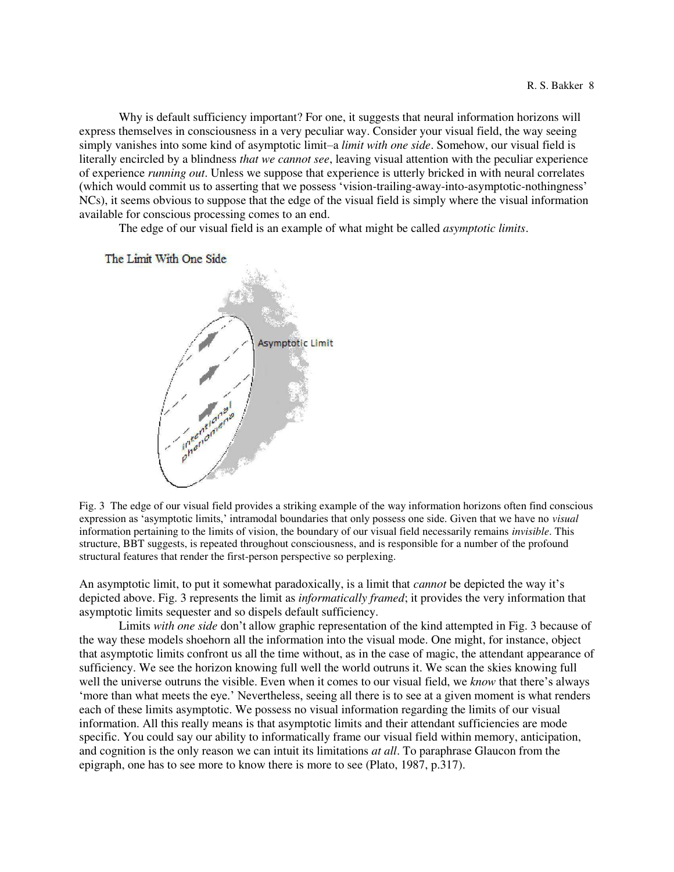Why is default sufficiency important? For one, it suggests that neural information horizons will express themselves in consciousness in a very peculiar way. Consider your visual field, the way seeing simply vanishes into some kind of asymptotic limit–a *limit with one side*. Somehow, our visual field is literally encircled by a blindness *that we cannot see*, leaving visual attention with the peculiar experience of experience *running out*. Unless we suppose that experience is utterly bricked in with neural correlates (which would commit us to asserting that we possess 'vision-trailing-away-into-asymptotic-nothingness' NCs), it seems obvious to suppose that the edge of the visual field is simply where the visual information available for conscious processing comes to an end.

The edge of our visual field is an example of what might be called *asymptotic limits*.

The Limit With One Side



Fig. 3 The edge of our visual field provides a striking example of the way information horizons often find conscious expression as 'asymptotic limits,' intramodal boundaries that only possess one side. Given that we have no *visual* information pertaining to the limits of vision, the boundary of our visual field necessarily remains *invisible*. This structure, BBT suggests, is repeated throughout consciousness, and is responsible for a number of the profound structural features that render the first-person perspective so perplexing.

An asymptotic limit, to put it somewhat paradoxically, is a limit that *cannot* be depicted the way it's depicted above. Fig. 3 represents the limit as *informatically framed*; it provides the very information that asymptotic limits sequester and so dispels default sufficiency.

 Limits *with one side* don't allow graphic representation of the kind attempted in Fig. 3 because of the way these models shoehorn all the information into the visual mode. One might, for instance, object that asymptotic limits confront us all the time without, as in the case of magic, the attendant appearance of sufficiency. We see the horizon knowing full well the world outruns it. We scan the skies knowing full well the universe outruns the visible. Even when it comes to our visual field, we *know* that there's always 'more than what meets the eye.' Nevertheless, seeing all there is to see at a given moment is what renders each of these limits asymptotic. We possess no visual information regarding the limits of our visual information. All this really means is that asymptotic limits and their attendant sufficiencies are mode specific. You could say our ability to informatically frame our visual field within memory, anticipation, and cognition is the only reason we can intuit its limitations *at all*. To paraphrase Glaucon from the epigraph, one has to see more to know there is more to see (Plato, 1987, p.317).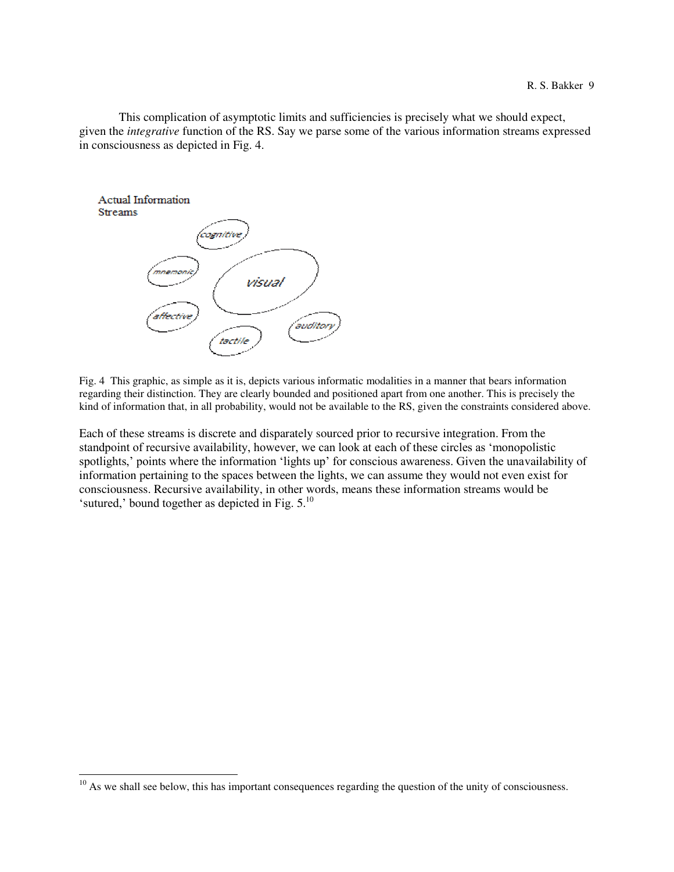This complication of asymptotic limits and sufficiencies is precisely what we should expect, given the *integrative* function of the RS. Say we parse some of the various information streams expressed in consciousness as depicted in Fig. 4.



 $\overline{a}$ 

Fig. 4 This graphic, as simple as it is, depicts various informatic modalities in a manner that bears information regarding their distinction. They are clearly bounded and positioned apart from one another. This is precisely the kind of information that, in all probability, would not be available to the RS, given the constraints considered above.

Each of these streams is discrete and disparately sourced prior to recursive integration. From the standpoint of recursive availability, however, we can look at each of these circles as 'monopolistic spotlights,' points where the information 'lights up' for conscious awareness. Given the unavailability of information pertaining to the spaces between the lights, we can assume they would not even exist for consciousness. Recursive availability, in other words, means these information streams would be 'sutured,' bound together as depicted in Fig.  $5.^{10}$ 

 $10<sup>10</sup>$  As we shall see below, this has important consequences regarding the question of the unity of consciousness.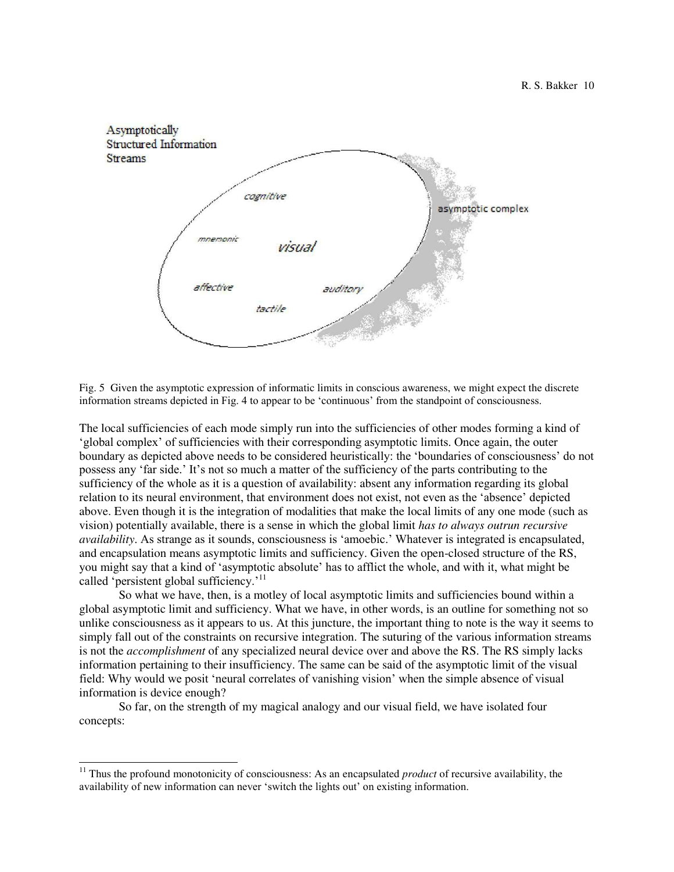

Fig. 5 Given the asymptotic expression of informatic limits in conscious awareness, we might expect the discrete information streams depicted in Fig. 4 to appear to be 'continuous' from the standpoint of consciousness.

The local sufficiencies of each mode simply run into the sufficiencies of other modes forming a kind of 'global complex' of sufficiencies with their corresponding asymptotic limits. Once again, the outer boundary as depicted above needs to be considered heuristically: the 'boundaries of consciousness' do not possess any 'far side.' It's not so much a matter of the sufficiency of the parts contributing to the sufficiency of the whole as it is a question of availability: absent any information regarding its global relation to its neural environment, that environment does not exist, not even as the 'absence' depicted above. Even though it is the integration of modalities that make the local limits of any one mode (such as vision) potentially available, there is a sense in which the global limit *has to always outrun recursive availability*. As strange as it sounds, consciousness is 'amoebic.' Whatever is integrated is encapsulated, and encapsulation means asymptotic limits and sufficiency. Given the open-closed structure of the RS, you might say that a kind of 'asymptotic absolute' has to afflict the whole, and with it, what might be called 'persistent global sufficiency.'<sup>11</sup>

 So what we have, then, is a motley of local asymptotic limits and sufficiencies bound within a global asymptotic limit and sufficiency. What we have, in other words, is an outline for something not so unlike consciousness as it appears to us. At this juncture, the important thing to note is the way it seems to simply fall out of the constraints on recursive integration. The suturing of the various information streams is not the *accomplishment* of any specialized neural device over and above the RS. The RS simply lacks information pertaining to their insufficiency. The same can be said of the asymptotic limit of the visual field: Why would we posit 'neural correlates of vanishing vision' when the simple absence of visual information is device enough?

 So far, on the strength of my magical analogy and our visual field, we have isolated four concepts:

<sup>&</sup>lt;sup>11</sup> Thus the profound monotonicity of consciousness: As an encapsulated *product* of recursive availability, the availability of new information can never 'switch the lights out' on existing information.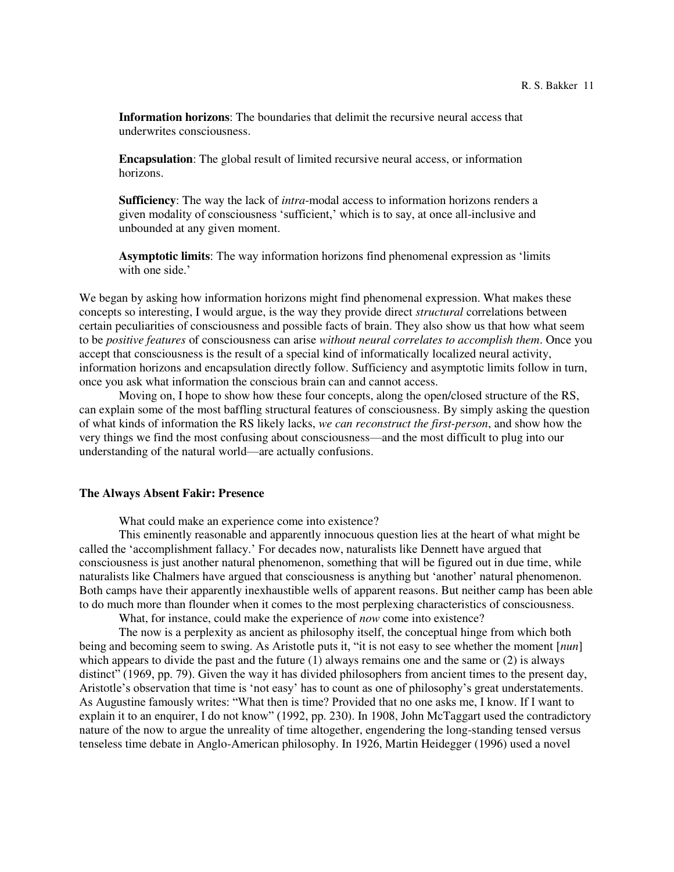**Information horizons**: The boundaries that delimit the recursive neural access that underwrites consciousness.

**Encapsulation**: The global result of limited recursive neural access, or information horizons.

**Sufficiency**: The way the lack of *intra*-modal access to information horizons renders a given modality of consciousness 'sufficient,' which is to say, at once all-inclusive and unbounded at any given moment.

**Asymptotic limits**: The way information horizons find phenomenal expression as 'limits with one side.'

We began by asking how information horizons might find phenomenal expression. What makes these concepts so interesting, I would argue, is the way they provide direct *structural* correlations between certain peculiarities of consciousness and possible facts of brain. They also show us that how what seem to be *positive features* of consciousness can arise *without neural correlates to accomplish them*. Once you accept that consciousness is the result of a special kind of informatically localized neural activity, information horizons and encapsulation directly follow. Sufficiency and asymptotic limits follow in turn, once you ask what information the conscious brain can and cannot access.

 Moving on, I hope to show how these four concepts, along the open/closed structure of the RS, can explain some of the most baffling structural features of consciousness. By simply asking the question of what kinds of information the RS likely lacks, *we can reconstruct the first-person*, and show how the very things we find the most confusing about consciousness—and the most difficult to plug into our understanding of the natural world—are actually confusions.

# **The Always Absent Fakir: Presence**

What could make an experience come into existence?

 This eminently reasonable and apparently innocuous question lies at the heart of what might be called the 'accomplishment fallacy.' For decades now, naturalists like Dennett have argued that consciousness is just another natural phenomenon, something that will be figured out in due time, while naturalists like Chalmers have argued that consciousness is anything but 'another' natural phenomenon. Both camps have their apparently inexhaustible wells of apparent reasons. But neither camp has been able to do much more than flounder when it comes to the most perplexing characteristics of consciousness.

What, for instance, could make the experience of *now* come into existence?

 The now is a perplexity as ancient as philosophy itself, the conceptual hinge from which both being and becoming seem to swing. As Aristotle puts it, "it is not easy to see whether the moment [*nun*] which appears to divide the past and the future  $(1)$  always remains one and the same or  $(2)$  is always distinct" (1969, pp. 79). Given the way it has divided philosophers from ancient times to the present day, Aristotle's observation that time is 'not easy' has to count as one of philosophy's great understatements. As Augustine famously writes: "What then is time? Provided that no one asks me, I know. If I want to explain it to an enquirer, I do not know" (1992, pp. 230). In 1908, John McTaggart used the contradictory nature of the now to argue the unreality of time altogether, engendering the long-standing tensed versus tenseless time debate in Anglo-American philosophy. In 1926, Martin Heidegger (1996) used a novel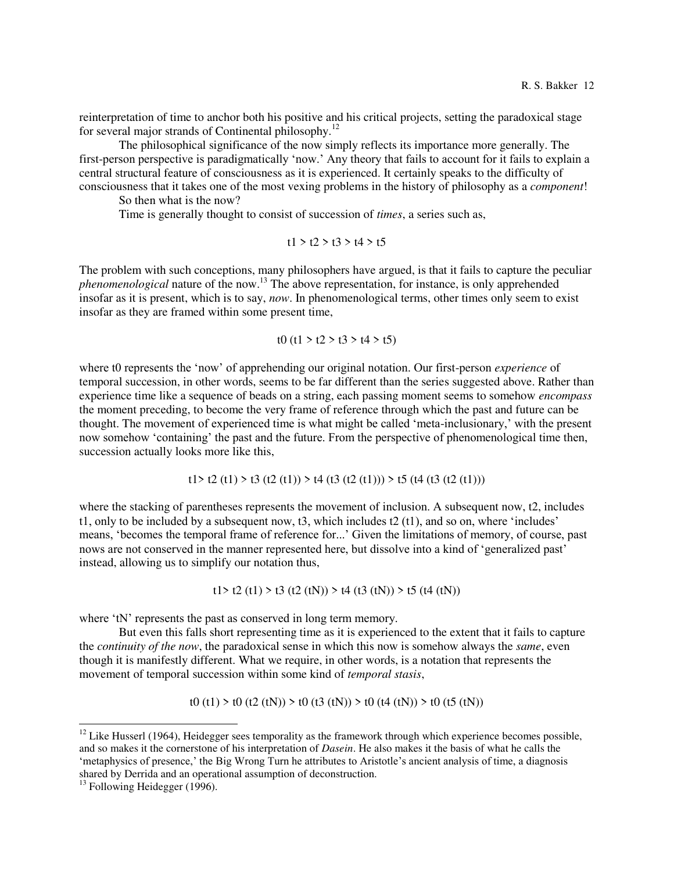reinterpretation of time to anchor both his positive and his critical projects, setting the paradoxical stage for several major strands of Continental philosophy.<sup>12</sup>

 The philosophical significance of the now simply reflects its importance more generally. The first-person perspective is paradigmatically 'now.' Any theory that fails to account for it fails to explain a central structural feature of consciousness as it is experienced. It certainly speaks to the difficulty of consciousness that it takes one of the most vexing problems in the history of philosophy as a *component*!

So then what is the now?

Time is generally thought to consist of succession of *times*, a series such as,

t1 > t2 > t3 > t4 > t5

The problem with such conceptions, many philosophers have argued, is that it fails to capture the peculiar *phenomenological* nature of the now.<sup>13</sup> The above representation, for instance, is only apprehended insofar as it is present, which is to say, *now*. In phenomenological terms, other times only seem to exist insofar as they are framed within some present time,

$$
t0 \text{ (t1 } > t2 > t3 > t4 > t5)
$$

where t0 represents the 'now' of apprehending our original notation. Our first-person *experience* of temporal succession, in other words, seems to be far different than the series suggested above. Rather than experience time like a sequence of beads on a string, each passing moment seems to somehow *encompass* the moment preceding, to become the very frame of reference through which the past and future can be thought. The movement of experienced time is what might be called 'meta-inclusionary,' with the present now somehow 'containing' the past and the future. From the perspective of phenomenological time then, succession actually looks more like this,

$$
t1 > t2 (t1) > t3 (t2 (t1)) > t4 (t3 (t2 (t1))) > t5 (t4 (t3 (t2 (t1)))
$$

where the stacking of parentheses represents the movement of inclusion. A subsequent now, t2, includes t1, only to be included by a subsequent now,  $t3$ , which includes  $t2$  (t1), and so on, where 'includes' means, 'becomes the temporal frame of reference for...' Given the limitations of memory, of course, past nows are not conserved in the manner represented here, but dissolve into a kind of 'generalized past' instead, allowing us to simplify our notation thus,

t1> t2 (t1) > t3 (t2 (tN)) > t4 (t3 (tN)) > t5 (t4 (tN))

where 'tN' represents the past as conserved in long term memory.

 But even this falls short representing time as it is experienced to the extent that it fails to capture the *continuity of the now*, the paradoxical sense in which this now is somehow always the *same*, even though it is manifestly different. What we require, in other words, is a notation that represents the movement of temporal succession within some kind of *temporal stasis*,

t0 (t1) > t0 (t2 (tN)) > t0 (t3 (tN)) > t0 (t4 (tN)) > t0 (t5 (tN))

 $12$  Like Husserl (1964), Heidegger sees temporality as the framework through which experience becomes possible, and so makes it the cornerstone of his interpretation of *Dasein*. He also makes it the basis of what he calls the 'metaphysics of presence,' the Big Wrong Turn he attributes to Aristotle's ancient analysis of time, a diagnosis shared by Derrida and an operational assumption of deconstruction.

 $13$  Following Heidegger (1996).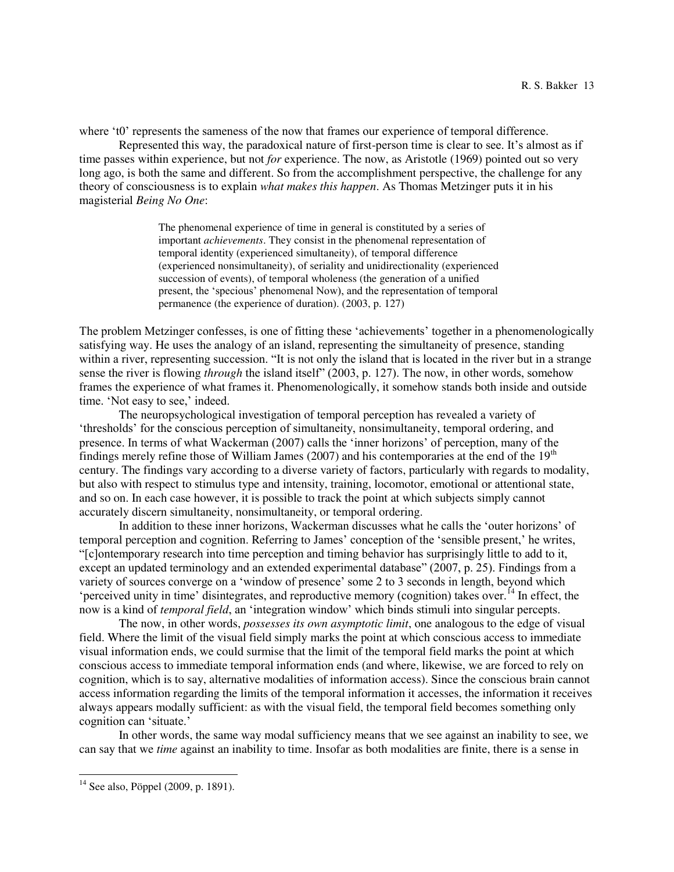where 't0' represents the sameness of the now that frames our experience of temporal difference.

 Represented this way, the paradoxical nature of first-person time is clear to see. It's almost as if time passes within experience, but not *for* experience. The now, as Aristotle (1969) pointed out so very long ago, is both the same and different. So from the accomplishment perspective, the challenge for any theory of consciousness is to explain *what makes this happen*. As Thomas Metzinger puts it in his magisterial *Being No One*:

> The phenomenal experience of time in general is constituted by a series of important *achievements*. They consist in the phenomenal representation of temporal identity (experienced simultaneity), of temporal difference (experienced nonsimultaneity), of seriality and unidirectionality (experienced succession of events), of temporal wholeness (the generation of a unified present, the 'specious' phenomenal Now), and the representation of temporal permanence (the experience of duration). (2003, p. 127)

The problem Metzinger confesses, is one of fitting these 'achievements' together in a phenomenologically satisfying way. He uses the analogy of an island, representing the simultaneity of presence, standing within a river, representing succession. "It is not only the island that is located in the river but in a strange sense the river is flowing *through* the island itself" (2003, p. 127). The now, in other words, somehow frames the experience of what frames it. Phenomenologically, it somehow stands both inside and outside time. 'Not easy to see,' indeed.

 The neuropsychological investigation of temporal perception has revealed a variety of 'thresholds' for the conscious perception of simultaneity, nonsimultaneity, temporal ordering, and presence. In terms of what Wackerman (2007) calls the 'inner horizons' of perception, many of the findings merely refine those of William James (2007) and his contemporaries at the end of the  $19<sup>th</sup>$ century. The findings vary according to a diverse variety of factors, particularly with regards to modality, but also with respect to stimulus type and intensity, training, locomotor, emotional or attentional state, and so on. In each case however, it is possible to track the point at which subjects simply cannot accurately discern simultaneity, nonsimultaneity, or temporal ordering.

In addition to these inner horizons, Wackerman discusses what he calls the 'outer horizons' of temporal perception and cognition. Referring to James' conception of the 'sensible present,' he writes, "[c]ontemporary research into time perception and timing behavior has surprisingly little to add to it, except an updated terminology and an extended experimental database" (2007, p. 25). Findings from a variety of sources converge on a 'window of presence' some 2 to 3 seconds in length, beyond which 'perceived unity in time' disintegrates, and reproductive memory (cognition) takes over.<sup>14</sup> In effect, the now is a kind of *temporal field*, an 'integration window' which binds stimuli into singular percepts.

 The now, in other words, *possesses its own asymptotic limit*, one analogous to the edge of visual field. Where the limit of the visual field simply marks the point at which conscious access to immediate visual information ends, we could surmise that the limit of the temporal field marks the point at which conscious access to immediate temporal information ends (and where, likewise, we are forced to rely on cognition, which is to say, alternative modalities of information access). Since the conscious brain cannot access information regarding the limits of the temporal information it accesses, the information it receives always appears modally sufficient: as with the visual field, the temporal field becomes something only cognition can 'situate.'

 In other words, the same way modal sufficiency means that we see against an inability to see, we can say that we *time* against an inability to time. Insofar as both modalities are finite, there is a sense in

 $14$  See also, Pöppel (2009, p. 1891).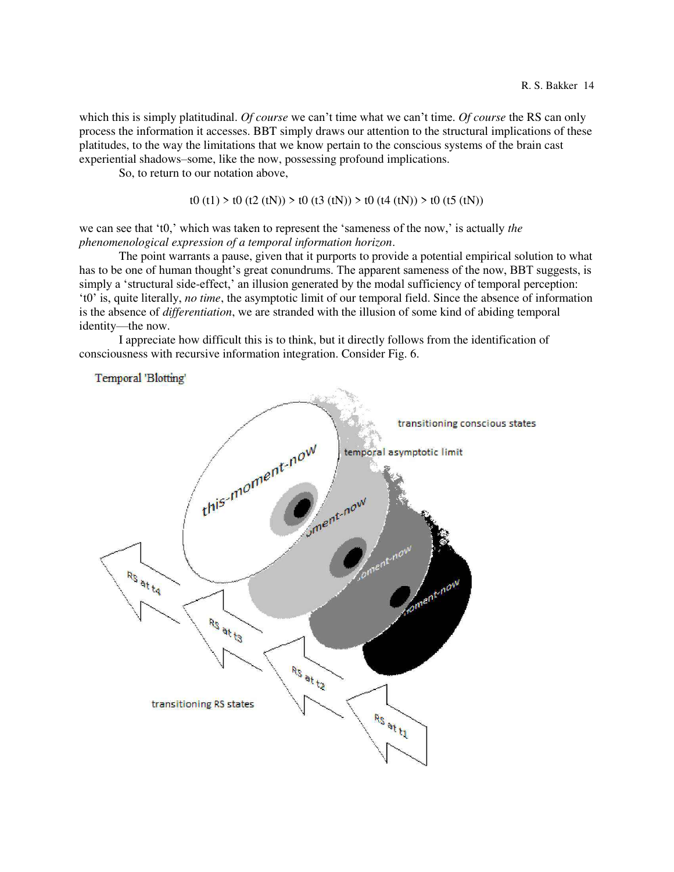which this is simply platitudinal. *Of course* we can't time what we can't time. *Of course* the RS can only process the information it accesses. BBT simply draws our attention to the structural implications of these platitudes, to the way the limitations that we know pertain to the conscious systems of the brain cast experiential shadows–some, like the now, possessing profound implications.

So, to return to our notation above,

Temporal 'Blotting'

```
t0 (t1) > t0 (t2 (tN)) > t0 (t3 (tN)) > t0 (t4 (tN)) > t0 (t5 (tN))
```
we can see that 't0,' which was taken to represent the 'sameness of the now,' is actually *the phenomenological expression of a temporal information horizon*.

 The point warrants a pause, given that it purports to provide a potential empirical solution to what has to be one of human thought's great conundrums. The apparent sameness of the now, BBT suggests, is simply a 'structural side-effect,' an illusion generated by the modal sufficiency of temporal perception: 't0' is, quite literally, *no time*, the asymptotic limit of our temporal field. Since the absence of information is the absence of *differentiation*, we are stranded with the illusion of some kind of abiding temporal identity—the now.

 I appreciate how difficult this is to think, but it directly follows from the identification of consciousness with recursive information integration. Consider Fig. 6.

transitioning conscious states this moment now temporal asymptotic limit Sment now RS at ta soment-now RS at to Rs at ta transitioning RS states **RS at t1**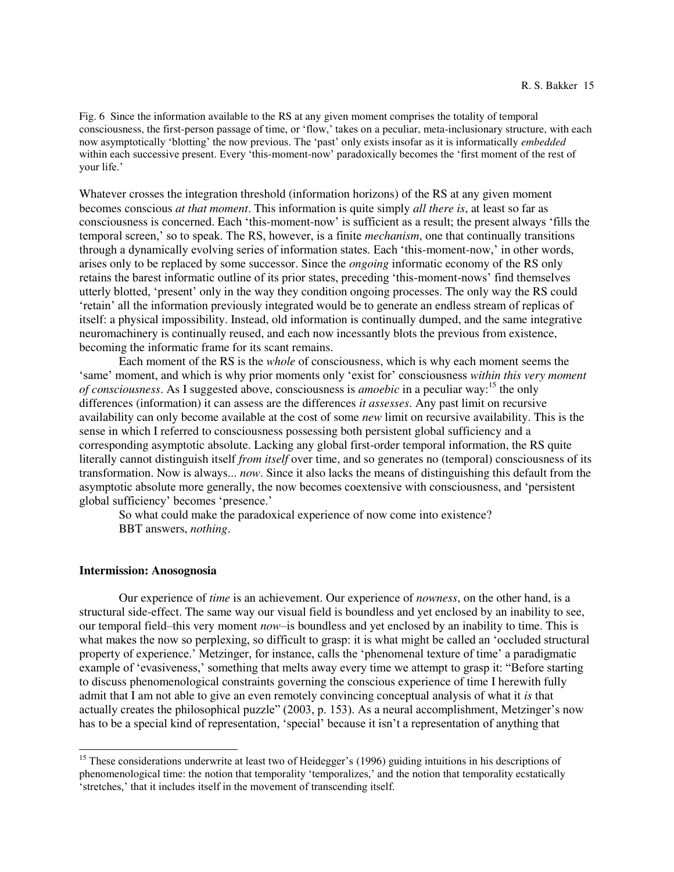Fig. 6 Since the information available to the RS at any given moment comprises the totality of temporal consciousness, the first-person passage of time, or 'flow,' takes on a peculiar, meta-inclusionary structure, with each now asymptotically 'blotting' the now previous. The 'past' only exists insofar as it is informatically *embedded* within each successive present. Every 'this-moment-now' paradoxically becomes the 'first moment of the rest of your life.'

Whatever crosses the integration threshold (information horizons) of the RS at any given moment becomes conscious *at that moment*. This information is quite simply *all there is*, at least so far as consciousness is concerned. Each 'this-moment-now' is sufficient as a result; the present always 'fills the temporal screen,' so to speak. The RS, however, is a finite *mechanism*, one that continually transitions through a dynamically evolving series of information states. Each 'this-moment-now,' in other words, arises only to be replaced by some successor. Since the *ongoing* informatic economy of the RS only retains the barest informatic outline of its prior states, preceding 'this-moment-nows' find themselves utterly blotted, 'present' only in the way they condition ongoing processes. The only way the RS could 'retain' all the information previously integrated would be to generate an endless stream of replicas of itself: a physical impossibility. Instead, old information is continually dumped, and the same integrative neuromachinery is continually reused, and each now incessantly blots the previous from existence, becoming the informatic frame for its scant remains.

 Each moment of the RS is the *whole* of consciousness, which is why each moment seems the 'same' moment, and which is why prior moments only 'exist for' consciousness *within this very moment of consciousness*. As I suggested above, consciousness is *amoebic* in a peculiar way:<sup>15</sup> the only differences (information) it can assess are the differences *it assesses*. Any past limit on recursive availability can only become available at the cost of some *new* limit on recursive availability. This is the sense in which I referred to consciousness possessing both persistent global sufficiency and a corresponding asymptotic absolute. Lacking any global first-order temporal information, the RS quite literally cannot distinguish itself *from itself* over time, and so generates no (temporal) consciousness of its transformation. Now is always... *now*. Since it also lacks the means of distinguishing this default from the asymptotic absolute more generally, the now becomes coextensive with consciousness, and 'persistent global sufficiency' becomes 'presence.'

 So what could make the paradoxical experience of now come into existence? BBT answers, *nothing*.

### **Intermission: Anosognosia**

 $\overline{a}$ 

 Our experience of *time* is an achievement. Our experience of *nowness*, on the other hand, is a structural side-effect. The same way our visual field is boundless and yet enclosed by an inability to see, our temporal field–this very moment *now*–is boundless and yet enclosed by an inability to time. This is what makes the now so perplexing, so difficult to grasp: it is what might be called an 'occluded structural property of experience.' Metzinger, for instance, calls the 'phenomenal texture of time' a paradigmatic example of 'evasiveness,' something that melts away every time we attempt to grasp it: "Before starting to discuss phenomenological constraints governing the conscious experience of time I herewith fully admit that I am not able to give an even remotely convincing conceptual analysis of what it *is* that actually creates the philosophical puzzle" (2003, p. 153). As a neural accomplishment, Metzinger's now has to be a special kind of representation, 'special' because it isn't a representation of anything that

<sup>&</sup>lt;sup>15</sup> These considerations underwrite at least two of Heidegger's (1996) guiding intuitions in his descriptions of phenomenological time: the notion that temporality 'temporalizes,' and the notion that temporality ecstatically 'stretches,' that it includes itself in the movement of transcending itself.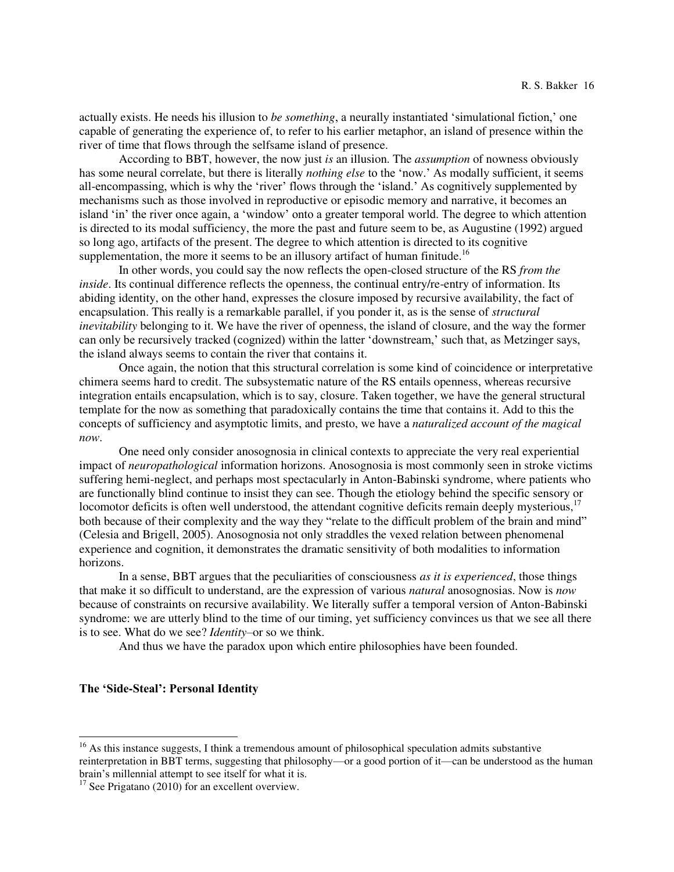actually exists. He needs his illusion to *be something*, a neurally instantiated 'simulational fiction,' one capable of generating the experience of, to refer to his earlier metaphor, an island of presence within the river of time that flows through the selfsame island of presence.

 According to BBT, however, the now just *is* an illusion. The *assumption* of nowness obviously has some neural correlate, but there is literally *nothing else* to the 'now.' As modally sufficient, it seems all-encompassing, which is why the 'river' flows through the 'island.' As cognitively supplemented by mechanisms such as those involved in reproductive or episodic memory and narrative, it becomes an island 'in' the river once again, a 'window' onto a greater temporal world. The degree to which attention is directed to its modal sufficiency, the more the past and future seem to be, as Augustine (1992) argued so long ago, artifacts of the present. The degree to which attention is directed to its cognitive supplementation, the more it seems to be an illusory artifact of human finitude.<sup>16</sup>

 In other words, you could say the now reflects the open-closed structure of the RS *from the inside*. Its continual difference reflects the openness, the continual entry/re-entry of information. Its abiding identity, on the other hand, expresses the closure imposed by recursive availability, the fact of encapsulation. This really is a remarkable parallel, if you ponder it, as is the sense of *structural inevitability* belonging to it. We have the river of openness, the island of closure, and the way the former can only be recursively tracked (cognized) within the latter 'downstream,' such that, as Metzinger says, the island always seems to contain the river that contains it.

 Once again, the notion that this structural correlation is some kind of coincidence or interpretative chimera seems hard to credit. The subsystematic nature of the RS entails openness, whereas recursive integration entails encapsulation, which is to say, closure. Taken together, we have the general structural template for the now as something that paradoxically contains the time that contains it. Add to this the concepts of sufficiency and asymptotic limits, and presto, we have a *naturalized account of the magical now*.

 One need only consider anosognosia in clinical contexts to appreciate the very real experiential impact of *neuropathological* information horizons. Anosognosia is most commonly seen in stroke victims suffering hemi-neglect, and perhaps most spectacularly in Anton-Babinski syndrome, where patients who are functionally blind continue to insist they can see. Though the etiology behind the specific sensory or locomotor deficits is often well understood, the attendant cognitive deficits remain deeply mysterious,<sup>17</sup> both because of their complexity and the way they "relate to the difficult problem of the brain and mind" (Celesia and Brigell, 2005). Anosognosia not only straddles the vexed relation between phenomenal experience and cognition, it demonstrates the dramatic sensitivity of both modalities to information horizons.

 In a sense, BBT argues that the peculiarities of consciousness *as it is experienced*, those things that make it so difficult to understand, are the expression of various *natural* anosognosias. Now is *now*  because of constraints on recursive availability. We literally suffer a temporal version of Anton-Babinski syndrome: we are utterly blind to the time of our timing, yet sufficiency convinces us that we see all there is to see. What do we see? *Identity*–or so we think.

And thus we have the paradox upon which entire philosophies have been founded.

#### **The 'Side-Steal': Personal Identity**

<sup>&</sup>lt;sup>16</sup> As this instance suggests, I think a tremendous amount of philosophical speculation admits substantive reinterpretation in BBT terms, suggesting that philosophy—or a good portion of it—can be understood as the human brain's millennial attempt to see itself for what it is.

 $17$  See Prigatano (2010) for an excellent overview.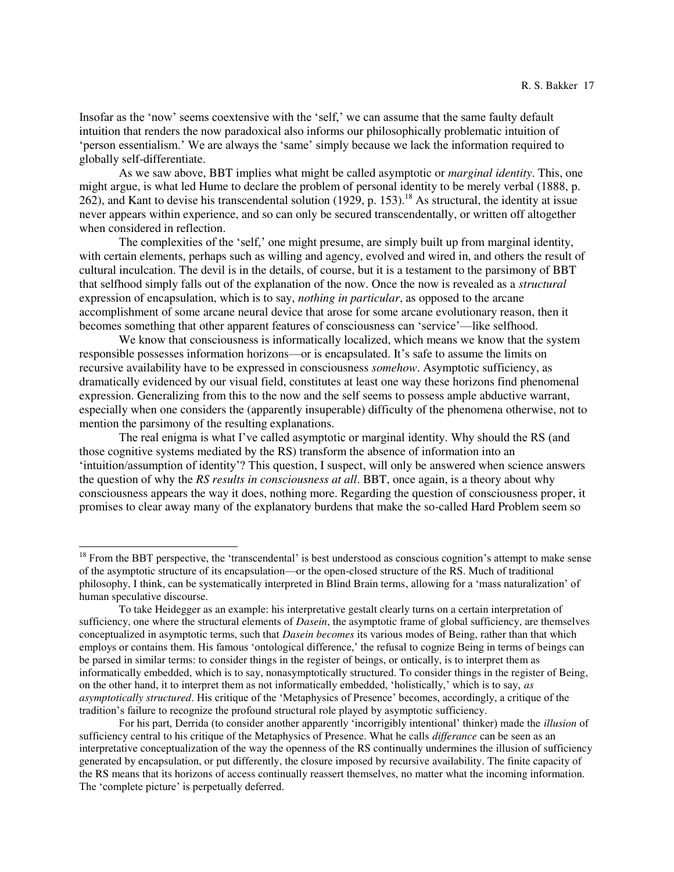Insofar as the 'now' seems coextensive with the 'self,' we can assume that the same faulty default intuition that renders the now paradoxical also informs our philosophically problematic intuition of 'person essentialism.' We are always the 'same' simply because we lack the information required to globally self-differentiate.

 As we saw above, BBT implies what might be called asymptotic or *marginal identity*. This, one might argue, is what led Hume to declare the problem of personal identity to be merely verbal (1888, p. 262), and Kant to devise his transcendental solution (1929, p. 153).<sup>18</sup> As structural, the identity at issue never appears within experience, and so can only be secured transcendentally, or written off altogether when considered in reflection.

The complexities of the 'self,' one might presume, are simply built up from marginal identity, with certain elements, perhaps such as willing and agency, evolved and wired in, and others the result of cultural inculcation. The devil is in the details, of course, but it is a testament to the parsimony of BBT that selfhood simply falls out of the explanation of the now. Once the now is revealed as a *structural* expression of encapsulation, which is to say, *nothing in particular*, as opposed to the arcane accomplishment of some arcane neural device that arose for some arcane evolutionary reason, then it becomes something that other apparent features of consciousness can 'service'—like selfhood.

 We know that consciousness is informatically localized, which means we know that the system responsible possesses information horizons—or is encapsulated. It's safe to assume the limits on recursive availability have to be expressed in consciousness *somehow*. Asymptotic sufficiency, as dramatically evidenced by our visual field, constitutes at least one way these horizons find phenomenal expression. Generalizing from this to the now and the self seems to possess ample abductive warrant, especially when one considers the (apparently insuperable) difficulty of the phenomena otherwise, not to mention the parsimony of the resulting explanations.

The real enigma is what I've called asymptotic or marginal identity. Why should the RS (and those cognitive systems mediated by the RS) transform the absence of information into an 'intuition/assumption of identity'? This question, I suspect, will only be answered when science answers the question of why the *RS results in consciousness at all*. BBT, once again, is a theory about why consciousness appears the way it does, nothing more. Regarding the question of consciousness proper, it promises to clear away many of the explanatory burdens that make the so-called Hard Problem seem so

 $18$  From the BBT perspective, the 'transcendental' is best understood as conscious cognition's attempt to make sense of the asymptotic structure of its encapsulation—or the open-closed structure of the RS. Much of traditional philosophy, I think, can be systematically interpreted in Blind Brain terms, allowing for a 'mass naturalization' of human speculative discourse.

To take Heidegger as an example: his interpretative gestalt clearly turns on a certain interpretation of sufficiency, one where the structural elements of *Dasein*, the asymptotic frame of global sufficiency, are themselves conceptualized in asymptotic terms, such that *Dasein becomes* its various modes of Being, rather than that which employs or contains them. His famous 'ontological difference,' the refusal to cognize Being in terms of beings can be parsed in similar terms: to consider things in the register of beings, or ontically, is to interpret them as informatically embedded, which is to say, nonasymptotically structured. To consider things in the register of Being, on the other hand, it to interpret them as not informatically embedded, 'holistically,' which is to say, *as asymptotically structured*. His critique of the 'Metaphysics of Presence' becomes, accordingly, a critique of the tradition's failure to recognize the profound structural role played by asymptotic sufficiency.

For his part, Derrida (to consider another apparently 'incorrigibly intentional' thinker) made the *illusion* of sufficiency central to his critique of the Metaphysics of Presence. What he calls *differance* can be seen as an interpretative conceptualization of the way the openness of the RS continually undermines the illusion of sufficiency generated by encapsulation, or put differently, the closure imposed by recursive availability. The finite capacity of the RS means that its horizons of access continually reassert themselves, no matter what the incoming information. The 'complete picture' is perpetually deferred.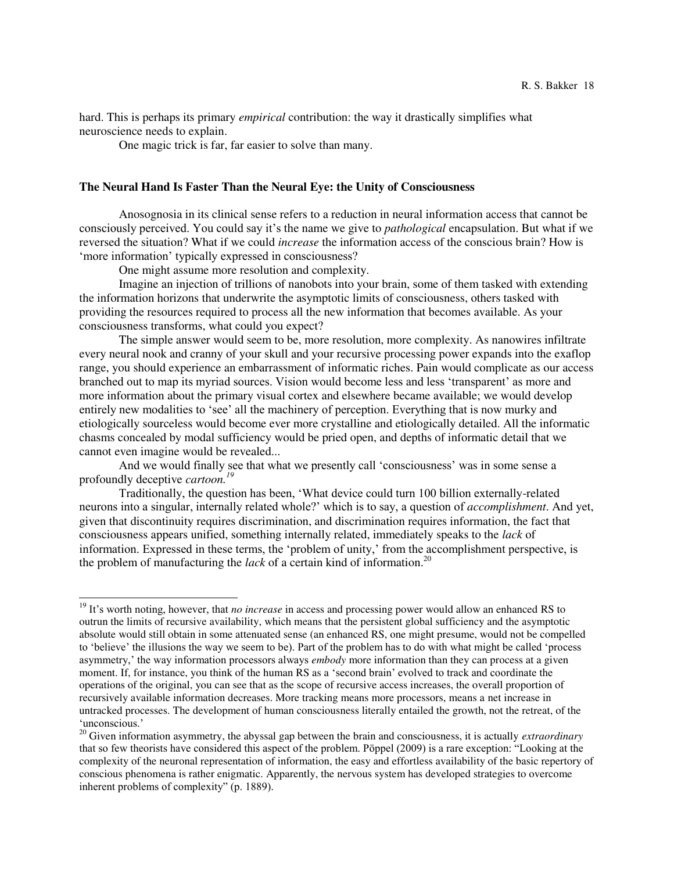hard. This is perhaps its primary *empirical* contribution: the way it drastically simplifies what neuroscience needs to explain.

One magic trick is far, far easier to solve than many.

#### **The Neural Hand Is Faster Than the Neural Eye: the Unity of Consciousness**

Anosognosia in its clinical sense refers to a reduction in neural information access that cannot be consciously perceived. You could say it's the name we give to *pathological* encapsulation. But what if we reversed the situation? What if we could *increase* the information access of the conscious brain? How is 'more information' typically expressed in consciousness?

One might assume more resolution and complexity.

 $\overline{a}$ 

 Imagine an injection of trillions of nanobots into your brain, some of them tasked with extending the information horizons that underwrite the asymptotic limits of consciousness, others tasked with providing the resources required to process all the new information that becomes available. As your consciousness transforms, what could you expect?

 The simple answer would seem to be, more resolution, more complexity. As nanowires infiltrate every neural nook and cranny of your skull and your recursive processing power expands into the exaflop range, you should experience an embarrassment of informatic riches. Pain would complicate as our access branched out to map its myriad sources. Vision would become less and less 'transparent' as more and more information about the primary visual cortex and elsewhere became available; we would develop entirely new modalities to 'see' all the machinery of perception. Everything that is now murky and etiologically sourceless would become ever more crystalline and etiologically detailed. All the informatic chasms concealed by modal sufficiency would be pried open, and depths of informatic detail that we cannot even imagine would be revealed...

And we would finally see that what we presently call 'consciousness' was in some sense a profoundly deceptive *cartoon.<sup>19</sup>*

Traditionally, the question has been, 'What device could turn 100 billion externally-related neurons into a singular, internally related whole?' which is to say, a question of *accomplishment*. And yet, given that discontinuity requires discrimination, and discrimination requires information, the fact that consciousness appears unified, something internally related, immediately speaks to the *lack* of information. Expressed in these terms, the 'problem of unity,' from the accomplishment perspective, is the problem of manufacturing the *lack* of a certain kind of information.<sup>20</sup>

<sup>&</sup>lt;sup>19</sup> It's worth noting, however, that *no increase* in access and processing power would allow an enhanced RS to outrun the limits of recursive availability, which means that the persistent global sufficiency and the asymptotic absolute would still obtain in some attenuated sense (an enhanced RS, one might presume, would not be compelled to 'believe' the illusions the way we seem to be). Part of the problem has to do with what might be called 'process asymmetry,' the way information processors always *embody* more information than they can process at a given moment. If, for instance, you think of the human RS as a 'second brain' evolved to track and coordinate the operations of the original, you can see that as the scope of recursive access increases, the overall proportion of recursively available information decreases. More tracking means more processors, means a net increase in untracked processes. The development of human consciousness literally entailed the growth, not the retreat, of the 'unconscious.'

<sup>20</sup> Given information asymmetry, the abyssal gap between the brain and consciousness, it is actually *extraordinary*  that so few theorists have considered this aspect of the problem. Pöppel (2009) is a rare exception: "Looking at the complexity of the neuronal representation of information, the easy and effortless availability of the basic repertory of conscious phenomena is rather enigmatic. Apparently, the nervous system has developed strategies to overcome inherent problems of complexity" (p. 1889).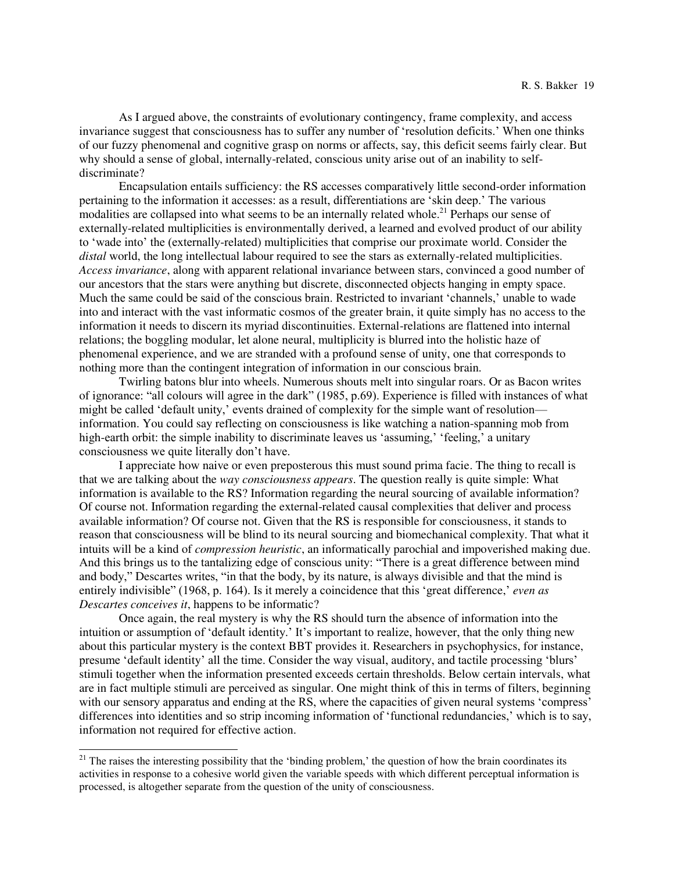As I argued above, the constraints of evolutionary contingency, frame complexity, and access invariance suggest that consciousness has to suffer any number of 'resolution deficits.' When one thinks of our fuzzy phenomenal and cognitive grasp on norms or affects, say, this deficit seems fairly clear. But why should a sense of global, internally-related, conscious unity arise out of an inability to selfdiscriminate?

 Encapsulation entails sufficiency: the RS accesses comparatively little second-order information pertaining to the information it accesses: as a result, differentiations are 'skin deep.' The various modalities are collapsed into what seems to be an internally related whole.<sup>21</sup> Perhaps our sense of externally-related multiplicities is environmentally derived, a learned and evolved product of our ability to 'wade into' the (externally-related) multiplicities that comprise our proximate world. Consider the *distal* world, the long intellectual labour required to see the stars as externally-related multiplicities. *Access invariance*, along with apparent relational invariance between stars, convinced a good number of our ancestors that the stars were anything but discrete, disconnected objects hanging in empty space. Much the same could be said of the conscious brain. Restricted to invariant 'channels,' unable to wade into and interact with the vast informatic cosmos of the greater brain, it quite simply has no access to the information it needs to discern its myriad discontinuities. External-relations are flattened into internal relations; the boggling modular, let alone neural, multiplicity is blurred into the holistic haze of phenomenal experience, and we are stranded with a profound sense of unity, one that corresponds to nothing more than the contingent integration of information in our conscious brain.

 Twirling batons blur into wheels. Numerous shouts melt into singular roars. Or as Bacon writes of ignorance: "all colours will agree in the dark" (1985, p.69). Experience is filled with instances of what might be called 'default unity,' events drained of complexity for the simple want of resolution information. You could say reflecting on consciousness is like watching a nation-spanning mob from high-earth orbit: the simple inability to discriminate leaves us 'assuming,' 'feeling,' a unitary consciousness we quite literally don't have.

 I appreciate how naive or even preposterous this must sound prima facie. The thing to recall is that we are talking about the *way consciousness appears*. The question really is quite simple: What information is available to the RS? Information regarding the neural sourcing of available information? Of course not. Information regarding the external-related causal complexities that deliver and process available information? Of course not. Given that the RS is responsible for consciousness, it stands to reason that consciousness will be blind to its neural sourcing and biomechanical complexity. That what it intuits will be a kind of *compression heuristic*, an informatically parochial and impoverished making due. And this brings us to the tantalizing edge of conscious unity: "There is a great difference between mind and body," Descartes writes, "in that the body, by its nature, is always divisible and that the mind is entirely indivisible" (1968, p. 164). Is it merely a coincidence that this 'great difference,' *even as Descartes conceives it*, happens to be informatic?

 Once again, the real mystery is why the RS should turn the absence of information into the intuition or assumption of 'default identity.' It's important to realize, however, that the only thing new about this particular mystery is the context BBT provides it. Researchers in psychophysics, for instance, presume 'default identity' all the time. Consider the way visual, auditory, and tactile processing 'blurs' stimuli together when the information presented exceeds certain thresholds. Below certain intervals, what are in fact multiple stimuli are perceived as singular. One might think of this in terms of filters, beginning with our sensory apparatus and ending at the RS, where the capacities of given neural systems 'compress' differences into identities and so strip incoming information of 'functional redundancies,' which is to say, information not required for effective action.

 $21$  The raises the interesting possibility that the 'binding problem,' the question of how the brain coordinates its activities in response to a cohesive world given the variable speeds with which different perceptual information is processed, is altogether separate from the question of the unity of consciousness.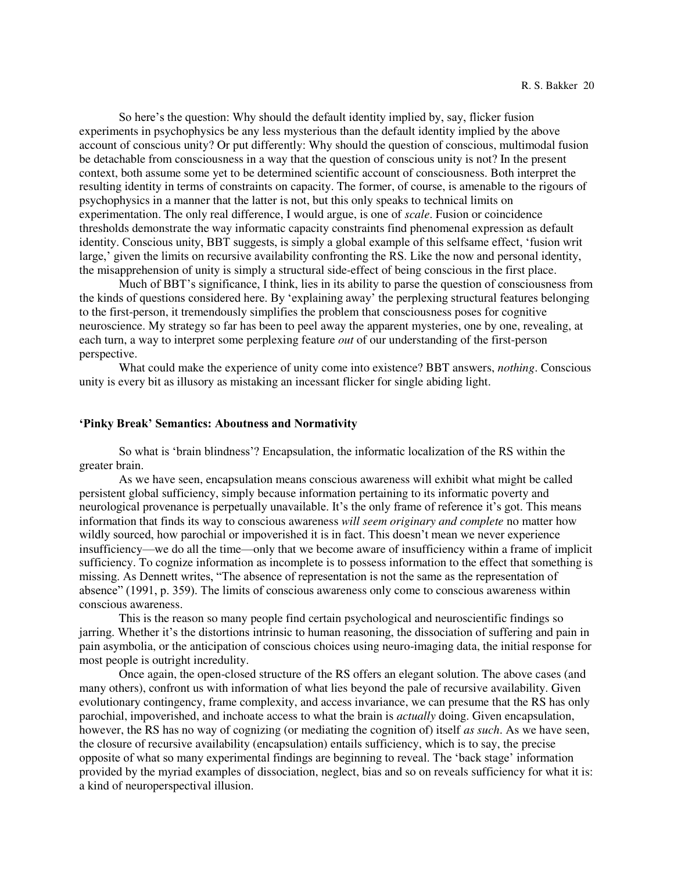So here's the question: Why should the default identity implied by, say, flicker fusion experiments in psychophysics be any less mysterious than the default identity implied by the above account of conscious unity? Or put differently: Why should the question of conscious, multimodal fusion be detachable from consciousness in a way that the question of conscious unity is not? In the present context, both assume some yet to be determined scientific account of consciousness. Both interpret the resulting identity in terms of constraints on capacity. The former, of course, is amenable to the rigours of psychophysics in a manner that the latter is not, but this only speaks to technical limits on experimentation. The only real difference, I would argue, is one of *scale*. Fusion or coincidence thresholds demonstrate the way informatic capacity constraints find phenomenal expression as default identity. Conscious unity, BBT suggests, is simply a global example of this selfsame effect, 'fusion writ large,' given the limits on recursive availability confronting the RS. Like the now and personal identity, the misapprehension of unity is simply a structural side-effect of being conscious in the first place.

Much of BBT's significance, I think, lies in its ability to parse the question of consciousness from the kinds of questions considered here. By 'explaining away' the perplexing structural features belonging to the first-person, it tremendously simplifies the problem that consciousness poses for cognitive neuroscience. My strategy so far has been to peel away the apparent mysteries, one by one, revealing, at each turn, a way to interpret some perplexing feature *out* of our understanding of the first-person perspective.

 What could make the experience of unity come into existence? BBT answers, *nothing*. Conscious unity is every bit as illusory as mistaking an incessant flicker for single abiding light.

# **'Pinky Break' Semantics: Aboutness and Normativity**

So what is 'brain blindness'? Encapsulation, the informatic localization of the RS within the greater brain.

 As we have seen, encapsulation means conscious awareness will exhibit what might be called persistent global sufficiency, simply because information pertaining to its informatic poverty and neurological provenance is perpetually unavailable. It's the only frame of reference it's got. This means information that finds its way to conscious awareness *will seem originary and complete* no matter how wildly sourced, how parochial or impoverished it is in fact. This doesn't mean we never experience insufficiency—we do all the time—only that we become aware of insufficiency within a frame of implicit sufficiency. To cognize information as incomplete is to possess information to the effect that something is missing. As Dennett writes, "The absence of representation is not the same as the representation of absence" (1991, p. 359). The limits of conscious awareness only come to conscious awareness within conscious awareness.

 This is the reason so many people find certain psychological and neuroscientific findings so jarring. Whether it's the distortions intrinsic to human reasoning, the dissociation of suffering and pain in pain asymbolia, or the anticipation of conscious choices using neuro-imaging data, the initial response for most people is outright incredulity.

 Once again, the open-closed structure of the RS offers an elegant solution. The above cases (and many others), confront us with information of what lies beyond the pale of recursive availability. Given evolutionary contingency, frame complexity, and access invariance, we can presume that the RS has only parochial, impoverished, and inchoate access to what the brain is *actually* doing. Given encapsulation, however, the RS has no way of cognizing (or mediating the cognition of) itself *as such*. As we have seen, the closure of recursive availability (encapsulation) entails sufficiency, which is to say, the precise opposite of what so many experimental findings are beginning to reveal. The 'back stage' information provided by the myriad examples of dissociation, neglect, bias and so on reveals sufficiency for what it is: a kind of neuroperspectival illusion.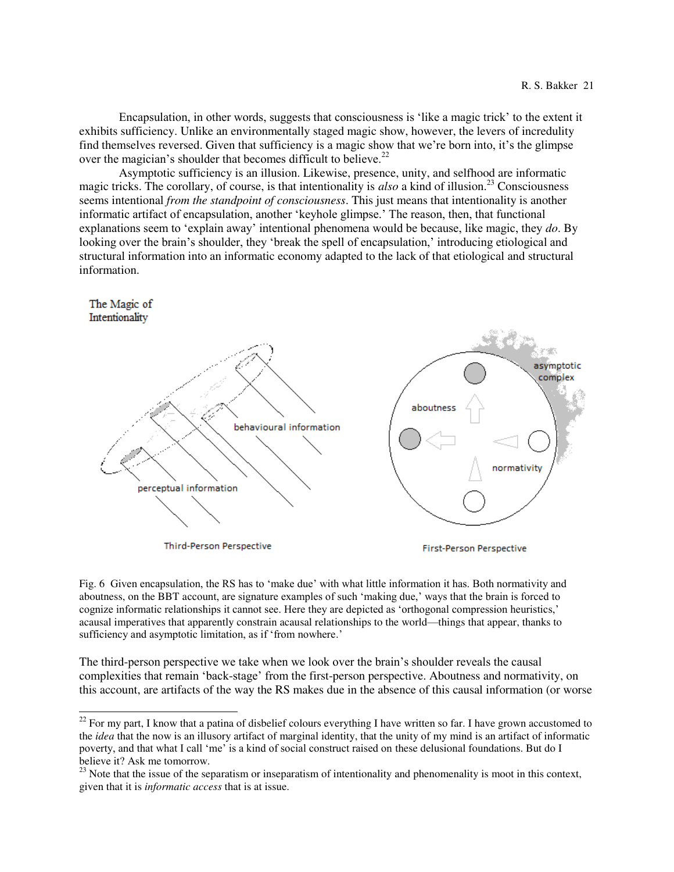Encapsulation, in other words, suggests that consciousness is 'like a magic trick' to the extent it exhibits sufficiency. Unlike an environmentally staged magic show, however, the levers of incredulity find themselves reversed. Given that sufficiency is a magic show that we're born into, it's the glimpse over the magician's shoulder that becomes difficult to believe.<sup>22</sup>

 Asymptotic sufficiency is an illusion. Likewise, presence, unity, and selfhood are informatic magic tricks. The corollary, of course, is that intentionality is *also* a kind of illusion.<sup>23</sup> Consciousness seems intentional *from the standpoint of consciousness*. This just means that intentionality is another informatic artifact of encapsulation, another 'keyhole glimpse.' The reason, then, that functional explanations seem to 'explain away' intentional phenomena would be because, like magic, they *do*. By looking over the brain's shoulder, they 'break the spell of encapsulation,' introducing etiological and structural information into an informatic economy adapted to the lack of that etiological and structural information.



Fig. 6 Given encapsulation, the RS has to 'make due' with what little information it has. Both normativity and aboutness, on the BBT account, are signature examples of such 'making due,' ways that the brain is forced to cognize informatic relationships it cannot see. Here they are depicted as 'orthogonal compression heuristics,' acausal imperatives that apparently constrain acausal relationships to the world—things that appear, thanks to sufficiency and asymptotic limitation, as if 'from nowhere.'

The third-person perspective we take when we look over the brain's shoulder reveals the causal complexities that remain 'back-stage' from the first-person perspective. Aboutness and normativity, on this account, are artifacts of the way the RS makes due in the absence of this causal information (or worse

 $22$  For my part, I know that a patina of disbelief colours everything I have written so far. I have grown accustomed to the *idea* that the now is an illusory artifact of marginal identity, that the unity of my mind is an artifact of informatic poverty, and that what I call 'me' is a kind of social construct raised on these delusional foundations. But do I believe it? Ask me tomorrow.

<sup>&</sup>lt;sup>23</sup> Note that the issue of the separatism or inseparatism of intentionality and phenomenality is moot in this context, given that it is *informatic access* that is at issue.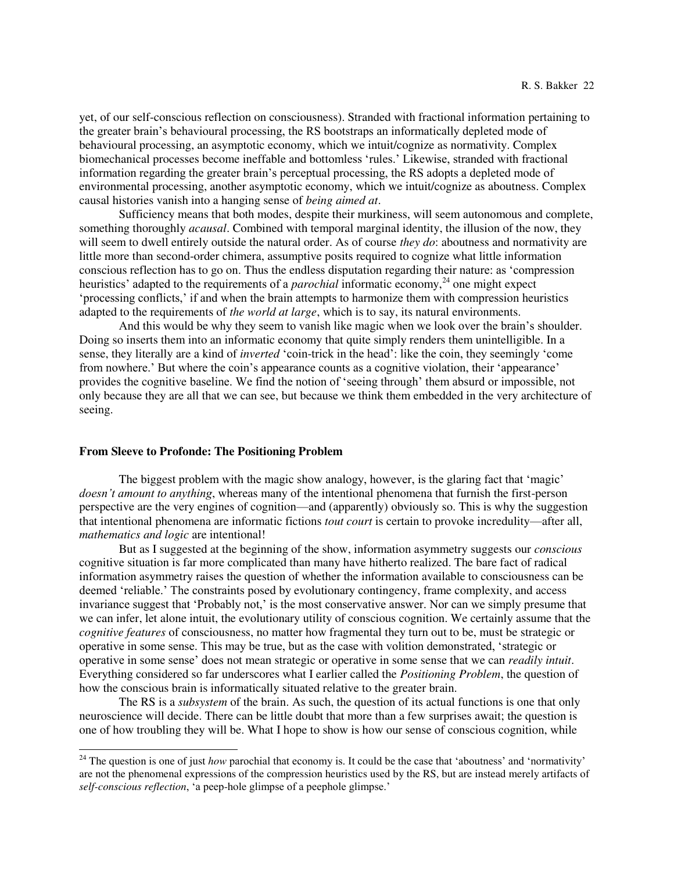yet, of our self-conscious reflection on consciousness). Stranded with fractional information pertaining to the greater brain's behavioural processing, the RS bootstraps an informatically depleted mode of behavioural processing, an asymptotic economy, which we intuit/cognize as normativity. Complex biomechanical processes become ineffable and bottomless 'rules.' Likewise, stranded with fractional information regarding the greater brain's perceptual processing, the RS adopts a depleted mode of environmental processing, another asymptotic economy, which we intuit/cognize as aboutness. Complex causal histories vanish into a hanging sense of *being aimed at*.

 Sufficiency means that both modes, despite their murkiness, will seem autonomous and complete, something thoroughly *acausal*. Combined with temporal marginal identity, the illusion of the now, they will seem to dwell entirely outside the natural order. As of course *they do*: aboutness and normativity are little more than second-order chimera, assumptive posits required to cognize what little information conscious reflection has to go on. Thus the endless disputation regarding their nature: as 'compression heuristics' adapted to the requirements of a *parochial* informatic economy,<sup>24</sup> one might expect 'processing conflicts,' if and when the brain attempts to harmonize them with compression heuristics adapted to the requirements of *the world at large*, which is to say, its natural environments.

And this would be why they seem to vanish like magic when we look over the brain's shoulder. Doing so inserts them into an informatic economy that quite simply renders them unintelligible. In a sense, they literally are a kind of *inverted* 'coin-trick in the head': like the coin, they seemingly 'come from nowhere.' But where the coin's appearance counts as a cognitive violation, their 'appearance' provides the cognitive baseline. We find the notion of 'seeing through' them absurd or impossible, not only because they are all that we can see, but because we think them embedded in the very architecture of seeing.

### **From Sleeve to Profonde: The Positioning Problem**

 $\overline{a}$ 

 The biggest problem with the magic show analogy, however, is the glaring fact that 'magic' *doesn't amount to anything*, whereas many of the intentional phenomena that furnish the first-person perspective are the very engines of cognition—and (apparently) obviously so. This is why the suggestion that intentional phenomena are informatic fictions *tout court* is certain to provoke incredulity—after all, *mathematics and logic* are intentional!

 But as I suggested at the beginning of the show, information asymmetry suggests our *conscious* cognitive situation is far more complicated than many have hitherto realized. The bare fact of radical information asymmetry raises the question of whether the information available to consciousness can be deemed 'reliable.' The constraints posed by evolutionary contingency, frame complexity, and access invariance suggest that 'Probably not,' is the most conservative answer. Nor can we simply presume that we can infer, let alone intuit, the evolutionary utility of conscious cognition. We certainly assume that the *cognitive features* of consciousness, no matter how fragmental they turn out to be, must be strategic or operative in some sense. This may be true, but as the case with volition demonstrated, 'strategic or operative in some sense' does not mean strategic or operative in some sense that we can *readily intuit*. Everything considered so far underscores what I earlier called the *Positioning Problem*, the question of how the conscious brain is informatically situated relative to the greater brain.

 The RS is a *subsystem* of the brain. As such, the question of its actual functions is one that only neuroscience will decide. There can be little doubt that more than a few surprises await; the question is one of how troubling they will be. What I hope to show is how our sense of conscious cognition, while

<sup>&</sup>lt;sup>24</sup> The question is one of just *how* parochial that economy is. It could be the case that 'aboutness' and 'normativity' are not the phenomenal expressions of the compression heuristics used by the RS, but are instead merely artifacts of *self-conscious reflection*, 'a peep-hole glimpse of a peephole glimpse.'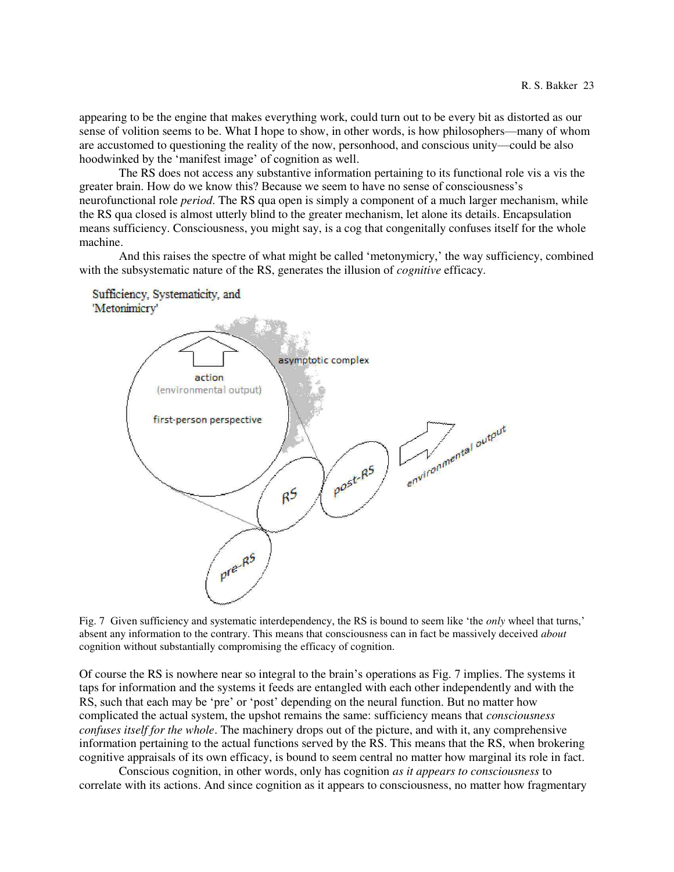appearing to be the engine that makes everything work, could turn out to be every bit as distorted as our sense of volition seems to be. What I hope to show, in other words, is how philosophers—many of whom are accustomed to questioning the reality of the now, personhood, and conscious unity—could be also hoodwinked by the 'manifest image' of cognition as well.

 The RS does not access any substantive information pertaining to its functional role vis a vis the greater brain. How do we know this? Because we seem to have no sense of consciousness's neurofunctional role *period*. The RS qua open is simply a component of a much larger mechanism, while the RS qua closed is almost utterly blind to the greater mechanism, let alone its details. Encapsulation means sufficiency. Consciousness, you might say, is a cog that congenitally confuses itself for the whole machine.

 And this raises the spectre of what might be called 'metonymicry,' the way sufficiency, combined with the subsystematic nature of the RS, generates the illusion of *cognitive* efficacy.



Fig. 7 Given sufficiency and systematic interdependency, the RS is bound to seem like 'the *only* wheel that turns,' absent any information to the contrary. This means that consciousness can in fact be massively deceived *about* cognition without substantially compromising the efficacy of cognition.

Of course the RS is nowhere near so integral to the brain's operations as Fig. 7 implies. The systems it taps for information and the systems it feeds are entangled with each other independently and with the RS, such that each may be 'pre' or 'post' depending on the neural function. But no matter how complicated the actual system, the upshot remains the same: sufficiency means that *consciousness confuses itself for the whole*. The machinery drops out of the picture, and with it, any comprehensive information pertaining to the actual functions served by the RS. This means that the RS, when brokering cognitive appraisals of its own efficacy, is bound to seem central no matter how marginal its role in fact.

 Conscious cognition, in other words, only has cognition *as it appears to consciousness* to correlate with its actions. And since cognition as it appears to consciousness, no matter how fragmentary

Sufficiency, Systematicity, and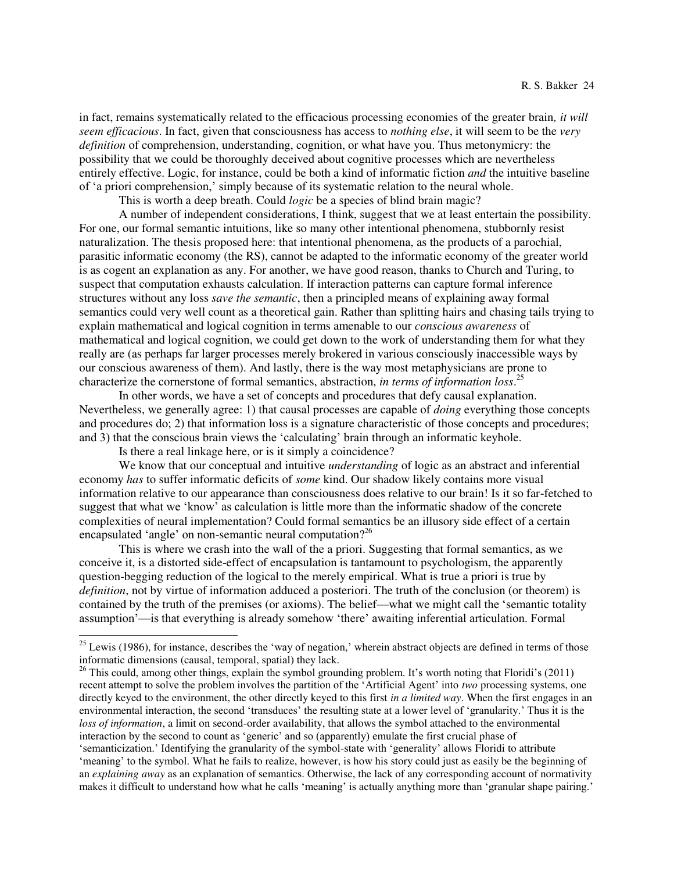in fact, remains systematically related to the efficacious processing economies of the greater brain*, it will seem efficacious*. In fact, given that consciousness has access to *nothing else*, it will seem to be the *very definition* of comprehension, understanding, cognition, or what have you. Thus metonymicry: the possibility that we could be thoroughly deceived about cognitive processes which are nevertheless entirely effective. Logic, for instance, could be both a kind of informatic fiction *and* the intuitive baseline of 'a priori comprehension,' simply because of its systematic relation to the neural whole.

This is worth a deep breath. Could *logic* be a species of blind brain magic?

 A number of independent considerations, I think, suggest that we at least entertain the possibility. For one, our formal semantic intuitions, like so many other intentional phenomena, stubbornly resist naturalization. The thesis proposed here: that intentional phenomena, as the products of a parochial, parasitic informatic economy (the RS), cannot be adapted to the informatic economy of the greater world is as cogent an explanation as any. For another, we have good reason, thanks to Church and Turing, to suspect that computation exhausts calculation. If interaction patterns can capture formal inference structures without any loss *save the semantic*, then a principled means of explaining away formal semantics could very well count as a theoretical gain. Rather than splitting hairs and chasing tails trying to explain mathematical and logical cognition in terms amenable to our *conscious awareness* of mathematical and logical cognition, we could get down to the work of understanding them for what they really are (as perhaps far larger processes merely brokered in various consciously inaccessible ways by our conscious awareness of them). And lastly, there is the way most metaphysicians are prone to characterize the cornerstone of formal semantics, abstraction, *in terms of information loss*. 25

 In other words, we have a set of concepts and procedures that defy causal explanation. Nevertheless, we generally agree: 1) that causal processes are capable of *doing* everything those concepts and procedures do; 2) that information loss is a signature characteristic of those concepts and procedures; and 3) that the conscious brain views the 'calculating' brain through an informatic keyhole.

Is there a real linkage here, or is it simply a coincidence?

 $\overline{a}$ 

 We know that our conceptual and intuitive *understanding* of logic as an abstract and inferential economy *has* to suffer informatic deficits of *some* kind. Our shadow likely contains more visual information relative to our appearance than consciousness does relative to our brain! Is it so far-fetched to suggest that what we 'know' as calculation is little more than the informatic shadow of the concrete complexities of neural implementation? Could formal semantics be an illusory side effect of a certain encapsulated 'angle' on non-semantic neural computation?<sup>26</sup>

 This is where we crash into the wall of the a priori. Suggesting that formal semantics, as we conceive it, is a distorted side-effect of encapsulation is tantamount to psychologism, the apparently question-begging reduction of the logical to the merely empirical. What is true a priori is true by *definition*, not by virtue of information adduced a posteriori. The truth of the conclusion (or theorem) is contained by the truth of the premises (or axioms). The belief—what we might call the 'semantic totality assumption'—is that everything is already somehow 'there' awaiting inferential articulation. Formal

an *explaining away* as an explanation of semantics. Otherwise, the lack of any corresponding account of normativity makes it difficult to understand how what he calls 'meaning' is actually anything more than 'granular shape pairing.'

<sup>&</sup>lt;sup>25</sup> Lewis (1986), for instance, describes the 'way of negation,' wherein abstract objects are defined in terms of those informatic dimensions (causal, temporal, spatial) they lack.

<sup>&</sup>lt;sup>26</sup> This could, among other things, explain the symbol grounding problem. It's worth noting that Floridi's (2011) recent attempt to solve the problem involves the partition of the 'Artificial Agent' into *two* processing systems, one directly keyed to the environment, the other directly keyed to this first *in a limited way*. When the first engages in an environmental interaction, the second 'transduces' the resulting state at a lower level of 'granularity.' Thus it is the *loss of information*, a limit on second-order availability, that allows the symbol attached to the environmental interaction by the second to count as 'generic' and so (apparently) emulate the first crucial phase of 'semanticization.' Identifying the granularity of the symbol-state with 'generality' allows Floridi to attribute 'meaning' to the symbol. What he fails to realize, however, is how his story could just as easily be the beginning of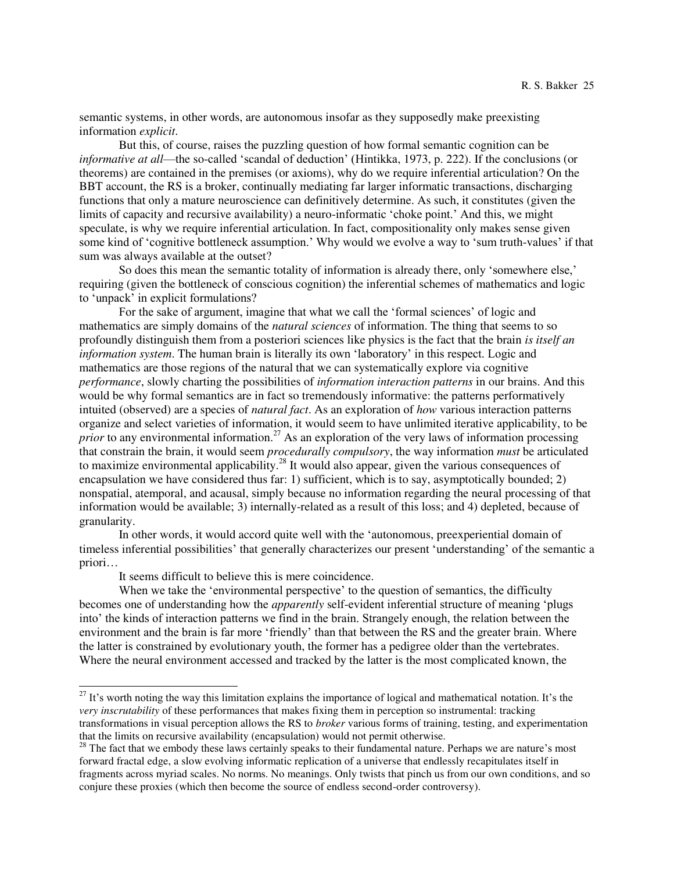semantic systems, in other words, are autonomous insofar as they supposedly make preexisting information *explicit*.

 But this, of course, raises the puzzling question of how formal semantic cognition can be *informative at all*—the so-called 'scandal of deduction' (Hintikka, 1973, p. 222). If the conclusions (or theorems) are contained in the premises (or axioms), why do we require inferential articulation? On the BBT account, the RS is a broker, continually mediating far larger informatic transactions, discharging functions that only a mature neuroscience can definitively determine. As such, it constitutes (given the limits of capacity and recursive availability) a neuro-informatic 'choke point.' And this, we might speculate, is why we require inferential articulation. In fact, compositionality only makes sense given some kind of 'cognitive bottleneck assumption.' Why would we evolve a way to 'sum truth-values' if that sum was always available at the outset?

 So does this mean the semantic totality of information is already there, only 'somewhere else,' requiring (given the bottleneck of conscious cognition) the inferential schemes of mathematics and logic to 'unpack' in explicit formulations?

For the sake of argument, imagine that what we call the 'formal sciences' of logic and mathematics are simply domains of the *natural sciences* of information. The thing that seems to so profoundly distinguish them from a posteriori sciences like physics is the fact that the brain *is itself an information system*. The human brain is literally its own 'laboratory' in this respect. Logic and mathematics are those regions of the natural that we can systematically explore via cognitive *performance*, slowly charting the possibilities of *information interaction patterns* in our brains. And this would be why formal semantics are in fact so tremendously informative: the patterns performatively intuited (observed) are a species of *natural fact*. As an exploration of *how* various interaction patterns organize and select varieties of information, it would seem to have unlimited iterative applicability, to be *prior* to any environmental information.<sup>27</sup> As an exploration of the very laws of information processing that constrain the brain, it would seem *procedurally compulsory*, the way information *must* be articulated to maximize environmental applicability.<sup>28</sup> It would also appear, given the various consequences of encapsulation we have considered thus far: 1) sufficient, which is to say, asymptotically bounded; 2) nonspatial, atemporal, and acausal, simply because no information regarding the neural processing of that information would be available; 3) internally-related as a result of this loss; and 4) depleted, because of granularity.

 In other words, it would accord quite well with the 'autonomous, preexperiential domain of timeless inferential possibilities' that generally characterizes our present 'understanding' of the semantic a priori…

It seems difficult to believe this is mere coincidence.

 $\overline{a}$ 

When we take the 'environmental perspective' to the question of semantics, the difficulty becomes one of understanding how the *apparently* self-evident inferential structure of meaning 'plugs into' the kinds of interaction patterns we find in the brain. Strangely enough, the relation between the environment and the brain is far more 'friendly' than that between the RS and the greater brain. Where the latter is constrained by evolutionary youth, the former has a pedigree older than the vertebrates. Where the neural environment accessed and tracked by the latter is the most complicated known, the

 $27$  It's worth noting the way this limitation explains the importance of logical and mathematical notation. It's the *very inscrutability* of these performances that makes fixing them in perception so instrumental: tracking transformations in visual perception allows the RS to *broker* various forms of training, testing, and experimentation that the limits on recursive availability (encapsulation) would not permit otherwise.

<sup>&</sup>lt;sup>28</sup> The fact that we embody these laws certainly speaks to their fundamental nature. Perhaps we are nature's most forward fractal edge, a slow evolving informatic replication of a universe that endlessly recapitulates itself in fragments across myriad scales. No norms. No meanings. Only twists that pinch us from our own conditions, and so conjure these proxies (which then become the source of endless second-order controversy).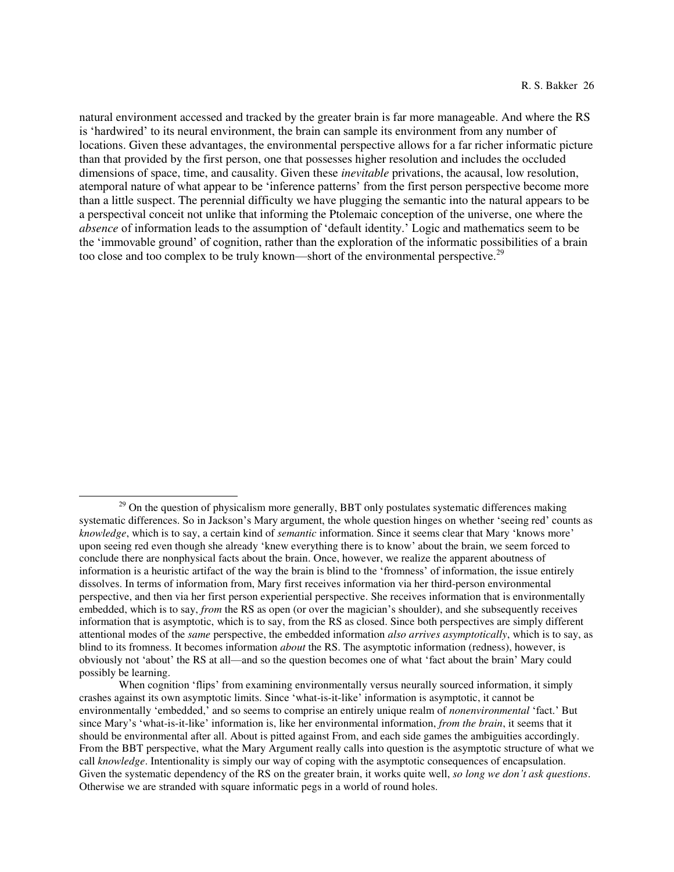natural environment accessed and tracked by the greater brain is far more manageable. And where the RS is 'hardwired' to its neural environment, the brain can sample its environment from any number of locations. Given these advantages, the environmental perspective allows for a far richer informatic picture than that provided by the first person, one that possesses higher resolution and includes the occluded dimensions of space, time, and causality. Given these *inevitable* privations, the acausal, low resolution, atemporal nature of what appear to be 'inference patterns' from the first person perspective become more than a little suspect. The perennial difficulty we have plugging the semantic into the natural appears to be a perspectival conceit not unlike that informing the Ptolemaic conception of the universe, one where the *absence* of information leads to the assumption of 'default identity.' Logic and mathematics seem to be the 'immovable ground' of cognition, rather than the exploration of the informatic possibilities of a brain too close and too complex to be truly known—short of the environmental perspective.<sup>29</sup>

 $29$  On the question of physicalism more generally, BBT only postulates systematic differences making systematic differences. So in Jackson's Mary argument, the whole question hinges on whether 'seeing red' counts as *knowledge*, which is to say, a certain kind of *semantic* information. Since it seems clear that Mary 'knows more' upon seeing red even though she already 'knew everything there is to know' about the brain, we seem forced to conclude there are nonphysical facts about the brain. Once, however, we realize the apparent aboutness of information is a heuristic artifact of the way the brain is blind to the 'fromness' of information, the issue entirely dissolves. In terms of information from, Mary first receives information via her third-person environmental perspective, and then via her first person experiential perspective. She receives information that is environmentally embedded, which is to say, *from* the RS as open (or over the magician's shoulder), and she subsequently receives information that is asymptotic, which is to say, from the RS as closed. Since both perspectives are simply different attentional modes of the *same* perspective, the embedded information *also arrives asymptotically*, which is to say, as blind to its fromness. It becomes information *about* the RS. The asymptotic information (redness), however, is obviously not 'about' the RS at all—and so the question becomes one of what 'fact about the brain' Mary could possibly be learning.

When cognition 'flips' from examining environmentally versus neurally sourced information, it simply crashes against its own asymptotic limits. Since 'what-is-it-like' information is asymptotic, it cannot be environmentally 'embedded,' and so seems to comprise an entirely unique realm of *nonenvironmental* 'fact.' But since Mary's 'what-is-it-like' information is, like her environmental information, *from the brain*, it seems that it should be environmental after all. About is pitted against From, and each side games the ambiguities accordingly. From the BBT perspective, what the Mary Argument really calls into question is the asymptotic structure of what we call *knowledge*. Intentionality is simply our way of coping with the asymptotic consequences of encapsulation. Given the systematic dependency of the RS on the greater brain, it works quite well, *so long we don't ask questions*. Otherwise we are stranded with square informatic pegs in a world of round holes.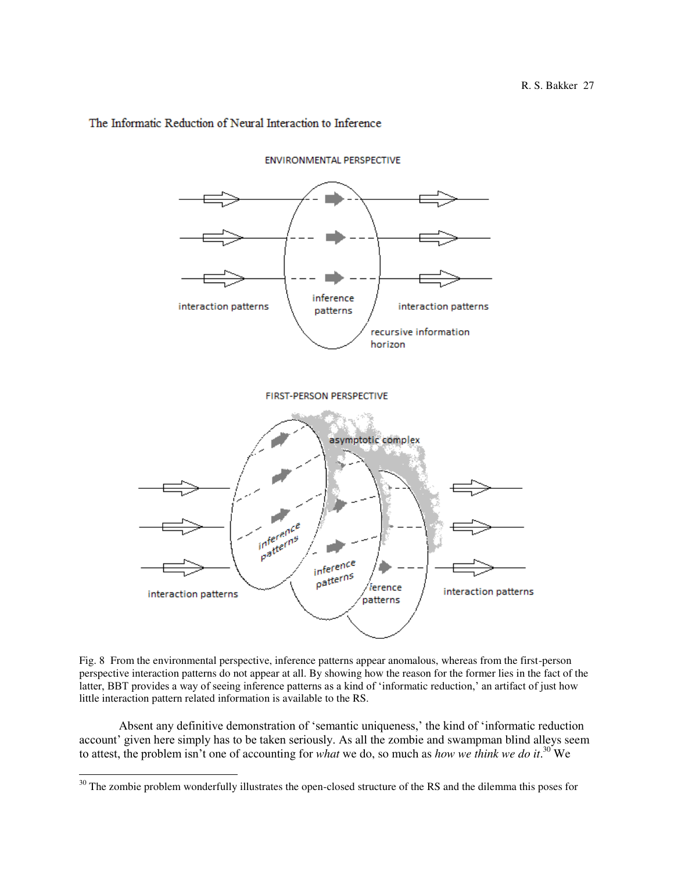# The Informatic Reduction of Neural Interaction to Inference



**ENVIRONMENTAL PERSPECTIVE** 

Fig. 8 From the environmental perspective, inference patterns appear anomalous, whereas from the first-person perspective interaction patterns do not appear at all. By showing how the reason for the former lies in the fact of the latter, BBT provides a way of seeing inference patterns as a kind of 'informatic reduction,' an artifact of just how little interaction pattern related information is available to the RS.

 Absent any definitive demonstration of 'semantic uniqueness,' the kind of 'informatic reduction account' given here simply has to be taken seriously. As all the zombie and swampman blind alleys seem to attest, the problem isn't one of accounting for *what* we do, so much as *how we think we do it*. <sup>30</sup> We

 $30$  The zombie problem wonderfully illustrates the open-closed structure of the RS and the dilemma this poses for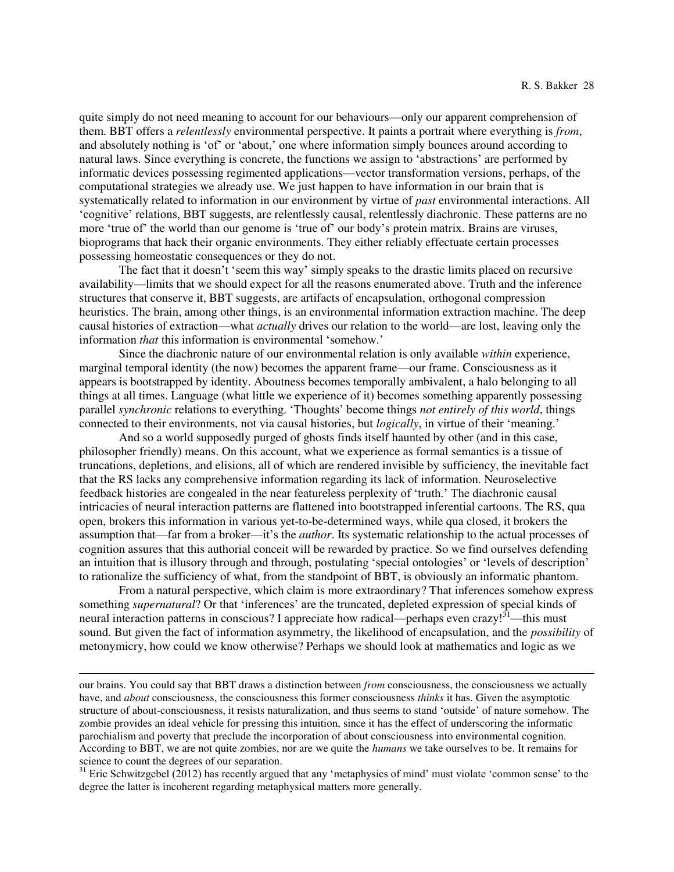quite simply do not need meaning to account for our behaviours—only our apparent comprehension of them. BBT offers a *relentlessly* environmental perspective. It paints a portrait where everything is *from*, and absolutely nothing is 'of' or 'about,' one where information simply bounces around according to natural laws. Since everything is concrete, the functions we assign to 'abstractions' are performed by informatic devices possessing regimented applications—vector transformation versions, perhaps, of the computational strategies we already use. We just happen to have information in our brain that is systematically related to information in our environment by virtue of *past* environmental interactions. All 'cognitive' relations, BBT suggests, are relentlessly causal, relentlessly diachronic. These patterns are no more 'true of' the world than our genome is 'true of' our body's protein matrix. Brains are viruses, bioprograms that hack their organic environments. They either reliably effectuate certain processes possessing homeostatic consequences or they do not.

The fact that it doesn't 'seem this way' simply speaks to the drastic limits placed on recursive availability—limits that we should expect for all the reasons enumerated above. Truth and the inference structures that conserve it, BBT suggests, are artifacts of encapsulation, orthogonal compression heuristics. The brain, among other things, is an environmental information extraction machine. The deep causal histories of extraction—what *actually* drives our relation to the world—are lost, leaving only the information *that* this information is environmental 'somehow.'

 Since the diachronic nature of our environmental relation is only available *within* experience, marginal temporal identity (the now) becomes the apparent frame—our frame. Consciousness as it appears is bootstrapped by identity. Aboutness becomes temporally ambivalent, a halo belonging to all things at all times. Language (what little we experience of it) becomes something apparently possessing parallel *synchronic* relations to everything. 'Thoughts' become things *not entirely of this world*, things connected to their environments, not via causal histories, but *logically*, in virtue of their 'meaning.'

 And so a world supposedly purged of ghosts finds itself haunted by other (and in this case, philosopher friendly) means. On this account, what we experience as formal semantics is a tissue of truncations, depletions, and elisions, all of which are rendered invisible by sufficiency, the inevitable fact that the RS lacks any comprehensive information regarding its lack of information. Neuroselective feedback histories are congealed in the near featureless perplexity of 'truth.' The diachronic causal intricacies of neural interaction patterns are flattened into bootstrapped inferential cartoons. The RS, qua open, brokers this information in various yet-to-be-determined ways, while qua closed, it brokers the assumption that—far from a broker—it's the *author*. Its systematic relationship to the actual processes of cognition assures that this authorial conceit will be rewarded by practice. So we find ourselves defending an intuition that is illusory through and through, postulating 'special ontologies' or 'levels of description' to rationalize the sufficiency of what, from the standpoint of BBT, is obviously an informatic phantom.

From a natural perspective, which claim is more extraordinary? That inferences somehow express something *supernatural*? Or that 'inferences' are the truncated, depleted expression of special kinds of neural interaction patterns in conscious? I appreciate how radical—perhaps even crazy!<sup>31</sup>—this must sound. But given the fact of information asymmetry, the likelihood of encapsulation, and the *possibility* of metonymicry, how could we know otherwise? Perhaps we should look at mathematics and logic as we

our brains. You could say that BBT draws a distinction between *from* consciousness, the consciousness we actually have, and *about* consciousness, the consciousness this former consciousness *thinks* it has. Given the asymptotic structure of about-consciousness, it resists naturalization, and thus seems to stand 'outside' of nature somehow. The zombie provides an ideal vehicle for pressing this intuition, since it has the effect of underscoring the informatic parochialism and poverty that preclude the incorporation of about consciousness into environmental cognition. According to BBT, we are not quite zombies, nor are we quite the *humans* we take ourselves to be. It remains for science to count the degrees of our separation.

 $31$  Eric Schwitzgebel (2012) has recently argued that any 'metaphysics of mind' must violate 'common sense' to the degree the latter is incoherent regarding metaphysical matters more generally.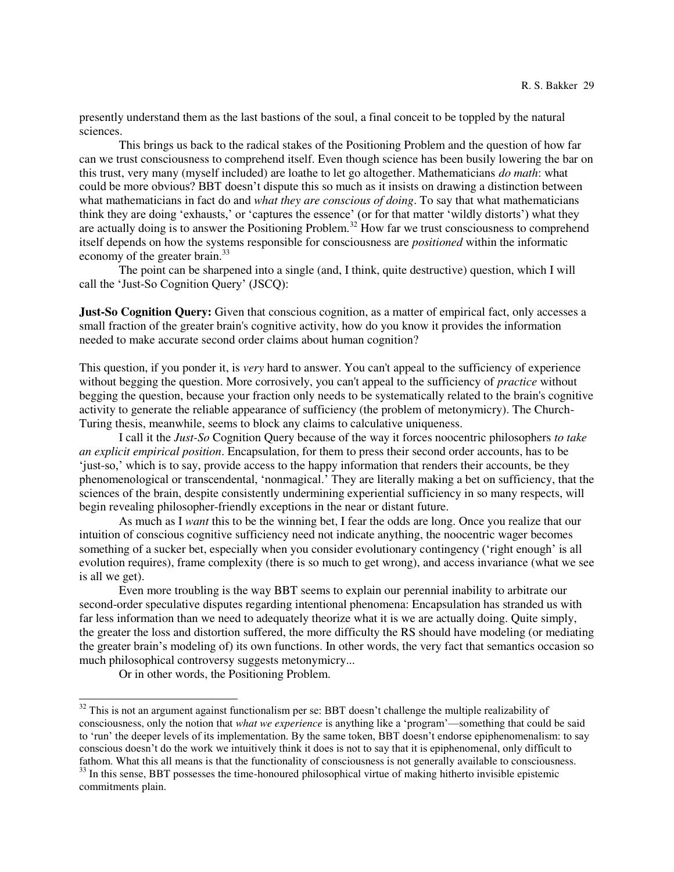presently understand them as the last bastions of the soul, a final conceit to be toppled by the natural sciences.

 This brings us back to the radical stakes of the Positioning Problem and the question of how far can we trust consciousness to comprehend itself. Even though science has been busily lowering the bar on this trust, very many (myself included) are loathe to let go altogether. Mathematicians *do math*: what could be more obvious? BBT doesn't dispute this so much as it insists on drawing a distinction between what mathematicians in fact do and *what they are conscious of doing*. To say that what mathematicians think they are doing 'exhausts,' or 'captures the essence' (or for that matter 'wildly distorts') what they are actually doing is to answer the Positioning Problem.<sup>32</sup> How far we trust consciousness to comprehend itself depends on how the systems responsible for consciousness are *positioned* within the informatic economy of the greater brain.<sup>33</sup>

 The point can be sharpened into a single (and, I think, quite destructive) question, which I will call the 'Just-So Cognition Query' (JSCQ):

**Just-So Cognition Query:** Given that conscious cognition, as a matter of empirical fact, only accesses a small fraction of the greater brain's cognitive activity, how do you know it provides the information needed to make accurate second order claims about human cognition?

This question, if you ponder it, is *very* hard to answer. You can't appeal to the sufficiency of experience without begging the question. More corrosively, you can't appeal to the sufficiency of *practice* without begging the question, because your fraction only needs to be systematically related to the brain's cognitive activity to generate the reliable appearance of sufficiency (the problem of metonymicry). The Church-Turing thesis, meanwhile, seems to block any claims to calculative uniqueness.

I call it the *Just-So* Cognition Query because of the way it forces noocentric philosophers *to take an explicit empirical position*. Encapsulation, for them to press their second order accounts, has to be 'just-so,' which is to say, provide access to the happy information that renders their accounts, be they phenomenological or transcendental, 'nonmagical.' They are literally making a bet on sufficiency, that the sciences of the brain, despite consistently undermining experiential sufficiency in so many respects, will begin revealing philosopher-friendly exceptions in the near or distant future.

 As much as I *want* this to be the winning bet, I fear the odds are long. Once you realize that our intuition of conscious cognitive sufficiency need not indicate anything, the noocentric wager becomes something of a sucker bet, especially when you consider evolutionary contingency ('right enough' is all evolution requires), frame complexity (there is so much to get wrong), and access invariance (what we see is all we get).

 Even more troubling is the way BBT seems to explain our perennial inability to arbitrate our second-order speculative disputes regarding intentional phenomena: Encapsulation has stranded us with far less information than we need to adequately theorize what it is we are actually doing. Quite simply, the greater the loss and distortion suffered, the more difficulty the RS should have modeling (or mediating the greater brain's modeling of) its own functions. In other words, the very fact that semantics occasion so much philosophical controversy suggests metonymicry...

Or in other words, the Positioning Problem.

 $32$  This is not an argument against functionalism per se: BBT doesn't challenge the multiple realizability of consciousness, only the notion that *what we experience* is anything like a 'program'—something that could be said to 'run' the deeper levels of its implementation. By the same token, BBT doesn't endorse epiphenomenalism: to say conscious doesn't do the work we intuitively think it does is not to say that it is epiphenomenal, only difficult to fathom. What this all means is that the functionality of consciousness is not generally available to consciousness.

<sup>&</sup>lt;sup>33</sup> In this sense, BBT possesses the time-honoured philosophical virtue of making hitherto invisible epistemic commitments plain.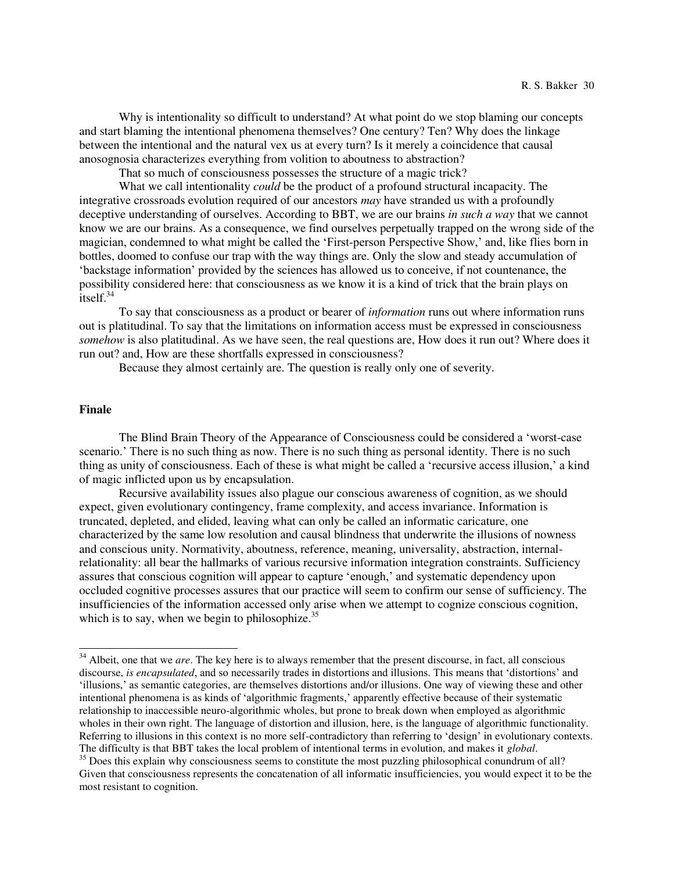Why is intentionality so difficult to understand? At what point do we stop blaming our concepts and start blaming the intentional phenomena themselves? One century? Ten? Why does the linkage between the intentional and the natural vex us at every turn? Is it merely a coincidence that causal anosognosia characterizes everything from volition to aboutness to abstraction?

That so much of consciousness possesses the structure of a magic trick?

 What we call intentionality *could* be the product of a profound structural incapacity. The integrative crossroads evolution required of our ancestors *may* have stranded us with a profoundly deceptive understanding of ourselves. According to BBT, we are our brains *in such a way* that we cannot know we are our brains. As a consequence, we find ourselves perpetually trapped on the wrong side of the magician, condemned to what might be called the 'First-person Perspective Show,' and, like flies born in bottles, doomed to confuse our trap with the way things are. Only the slow and steady accumulation of 'backstage information' provided by the sciences has allowed us to conceive, if not countenance, the possibility considered here: that consciousness as we know it is a kind of trick that the brain plays on itself. $34$ 

 To say that consciousness as a product or bearer of *information* runs out where information runs out is platitudinal. To say that the limitations on information access must be expressed in consciousness *somehow* is also platitudinal. As we have seen, the real questions are, How does it run out? Where does it run out? and, How are these shortfalls expressed in consciousness?

Because they almost certainly are. The question is really only one of severity.

#### **Finale**

 $\overline{a}$ 

 The Blind Brain Theory of the Appearance of Consciousness could be considered a 'worst-case scenario.' There is no such thing as now. There is no such thing as personal identity. There is no such thing as unity of consciousness. Each of these is what might be called a 'recursive access illusion,' a kind of magic inflicted upon us by encapsulation.

Recursive availability issues also plague our conscious awareness of cognition, as we should expect, given evolutionary contingency, frame complexity, and access invariance. Information is truncated, depleted, and elided, leaving what can only be called an informatic caricature, one characterized by the same low resolution and causal blindness that underwrite the illusions of nowness and conscious unity. Normativity, aboutness, reference, meaning, universality, abstraction, internalrelationality: all bear the hallmarks of various recursive information integration constraints. Sufficiency assures that conscious cognition will appear to capture 'enough,' and systematic dependency upon occluded cognitive processes assures that our practice will seem to confirm our sense of sufficiency. The insufficiencies of the information accessed only arise when we attempt to cognize conscious cognition, which is to say, when we begin to philosophize. $35$ 

<sup>&</sup>lt;sup>34</sup> Albeit, one that we *are*. The key here is to always remember that the present discourse, in fact, all conscious discourse, *is encapsulated*, and so necessarily trades in distortions and illusions. This means that 'distortions' and 'illusions,' as semantic categories, are themselves distortions and/or illusions. One way of viewing these and other intentional phenomena is as kinds of 'algorithmic fragments,' apparently effective because of their systematic relationship to inaccessible neuro-algorithmic wholes, but prone to break down when employed as algorithmic wholes in their own right. The language of distortion and illusion, here, is the language of algorithmic functionality. Referring to illusions in this context is no more self-contradictory than referring to 'design' in evolutionary contexts. The difficulty is that BBT takes the local problem of intentional terms in evolution, and makes it *global*.

<sup>&</sup>lt;sup>35</sup> Does this explain why consciousness seems to constitute the most puzzling philosophical conundrum of all? Given that consciousness represents the concatenation of all informatic insufficiencies, you would expect it to be the most resistant to cognition.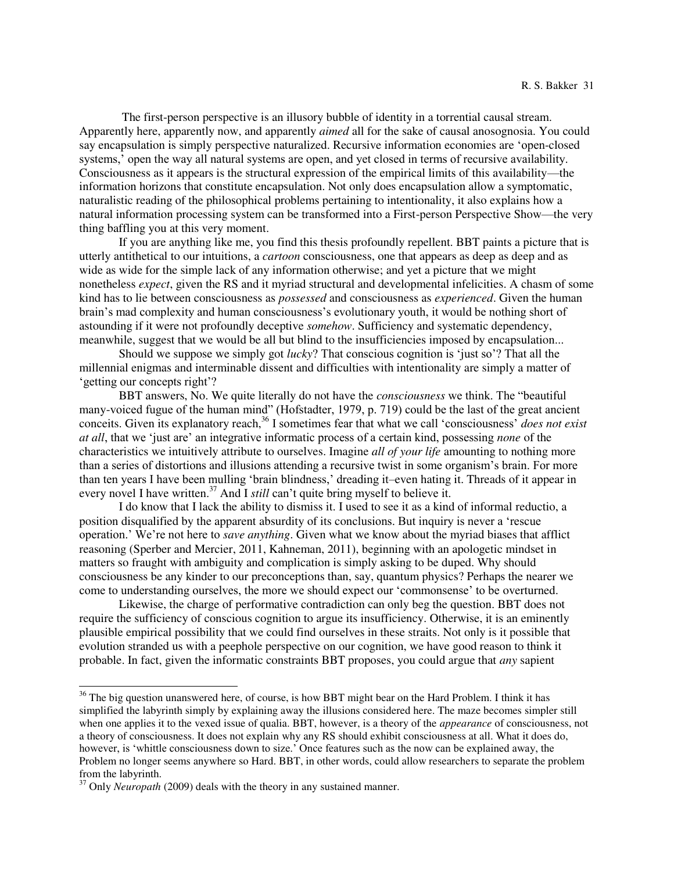The first-person perspective is an illusory bubble of identity in a torrential causal stream. Apparently here, apparently now, and apparently *aimed* all for the sake of causal anosognosia. You could say encapsulation is simply perspective naturalized. Recursive information economies are 'open-closed systems,' open the way all natural systems are open, and yet closed in terms of recursive availability. Consciousness as it appears is the structural expression of the empirical limits of this availability—the information horizons that constitute encapsulation. Not only does encapsulation allow a symptomatic, naturalistic reading of the philosophical problems pertaining to intentionality, it also explains how a natural information processing system can be transformed into a First-person Perspective Show—the very thing baffling you at this very moment.

If you are anything like me, you find this thesis profoundly repellent. BBT paints a picture that is utterly antithetical to our intuitions, a *cartoon* consciousness, one that appears as deep as deep and as wide as wide for the simple lack of any information otherwise; and yet a picture that we might nonetheless *expect*, given the RS and it myriad structural and developmental infelicities. A chasm of some kind has to lie between consciousness as *possessed* and consciousness as *experienced*. Given the human brain's mad complexity and human consciousness's evolutionary youth, it would be nothing short of astounding if it were not profoundly deceptive *somehow*. Sufficiency and systematic dependency, meanwhile, suggest that we would be all but blind to the insufficiencies imposed by encapsulation...

Should we suppose we simply got *lucky*? That conscious cognition is 'just so'? That all the millennial enigmas and interminable dissent and difficulties with intentionality are simply a matter of 'getting our concepts right'?

BBT answers, No. We quite literally do not have the *consciousness* we think. The "beautiful many-voiced fugue of the human mind" (Hofstadter, 1979, p. 719) could be the last of the great ancient conceits. Given its explanatory reach,<sup>36</sup> I sometimes fear that what we call 'consciousness' *does not exist at all*, that we 'just are' an integrative informatic process of a certain kind, possessing *none* of the characteristics we intuitively attribute to ourselves. Imagine *all of your life* amounting to nothing more than a series of distortions and illusions attending a recursive twist in some organism's brain. For more than ten years I have been mulling 'brain blindness,' dreading it–even hating it. Threads of it appear in every novel I have written.<sup>37</sup> And I *still* can't quite bring myself to believe it.

 I do know that I lack the ability to dismiss it. I used to see it as a kind of informal reductio, a position disqualified by the apparent absurdity of its conclusions. But inquiry is never a 'rescue operation.' We're not here to *save anything*. Given what we know about the myriad biases that afflict reasoning (Sperber and Mercier, 2011, Kahneman, 2011), beginning with an apologetic mindset in matters so fraught with ambiguity and complication is simply asking to be duped. Why should consciousness be any kinder to our preconceptions than, say, quantum physics? Perhaps the nearer we come to understanding ourselves, the more we should expect our 'commonsense' to be overturned.

 Likewise, the charge of performative contradiction can only beg the question. BBT does not require the sufficiency of conscious cognition to argue its insufficiency. Otherwise, it is an eminently plausible empirical possibility that we could find ourselves in these straits. Not only is it possible that evolution stranded us with a peephole perspective on our cognition, we have good reason to think it probable. In fact, given the informatic constraints BBT proposes, you could argue that *any* sapient

 $36$  The big question unanswered here, of course, is how BBT might bear on the Hard Problem. I think it has simplified the labyrinth simply by explaining away the illusions considered here. The maze becomes simpler still when one applies it to the vexed issue of qualia. BBT, however, is a theory of the *appearance* of consciousness, not a theory of consciousness. It does not explain why any RS should exhibit consciousness at all. What it does do, however, is 'whittle consciousness down to size.' Once features such as the now can be explained away, the Problem no longer seems anywhere so Hard. BBT, in other words, could allow researchers to separate the problem from the labyrinth.

<sup>&</sup>lt;sup>37</sup> Only *Neuropath* (2009) deals with the theory in any sustained manner.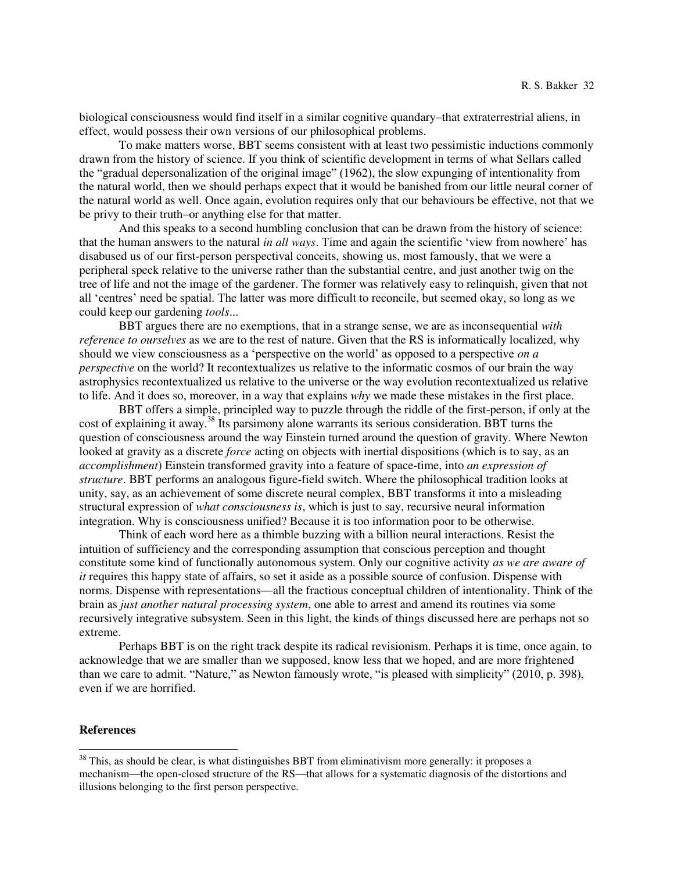biological consciousness would find itself in a similar cognitive quandary–that extraterrestrial aliens, in effect, would possess their own versions of our philosophical problems.

 To make matters worse, BBT seems consistent with at least two pessimistic inductions commonly drawn from the history of science. If you think of scientific development in terms of what Sellars called the "gradual depersonalization of the original image" (1962), the slow expunging of intentionality from the natural world, then we should perhaps expect that it would be banished from our little neural corner of the natural world as well. Once again, evolution requires only that our behaviours be effective, not that we be privy to their truth–or anything else for that matter.

 And this speaks to a second humbling conclusion that can be drawn from the history of science: that the human answers to the natural *in all ways*. Time and again the scientific 'view from nowhere' has disabused us of our first-person perspectival conceits, showing us, most famously, that we were a peripheral speck relative to the universe rather than the substantial centre, and just another twig on the tree of life and not the image of the gardener. The former was relatively easy to relinquish, given that not all 'centres' need be spatial. The latter was more difficult to reconcile, but seemed okay, so long as we could keep our gardening *tools*...

 BBT argues there are no exemptions, that in a strange sense, we are as inconsequential *with reference to ourselves* as we are to the rest of nature. Given that the RS is informatically localized, why should we view consciousness as a 'perspective on the world' as opposed to a perspective *on a perspective* on the world? It recontextualizes us relative to the informatic cosmos of our brain the way astrophysics recontextualized us relative to the universe or the way evolution recontextualized us relative to life. And it does so, moreover, in a way that explains *why* we made these mistakes in the first place.

 BBT offers a simple, principled way to puzzle through the riddle of the first-person, if only at the cost of explaining it away.<sup>38</sup> Its parsimony alone warrants its serious consideration. BBT turns the question of consciousness around the way Einstein turned around the question of gravity. Where Newton looked at gravity as a discrete *force* acting on objects with inertial dispositions (which is to say, as an *accomplishment*) Einstein transformed gravity into a feature of space-time, into *an expression of structure*. BBT performs an analogous figure-field switch. Where the philosophical tradition looks at unity, say, as an achievement of some discrete neural complex, BBT transforms it into a misleading structural expression of *what consciousness is*, which is just to say, recursive neural information integration. Why is consciousness unified? Because it is too information poor to be otherwise*.* 

Think of each word here as a thimble buzzing with a billion neural interactions. Resist the intuition of sufficiency and the corresponding assumption that conscious perception and thought constitute some kind of functionally autonomous system. Only our cognitive activity *as we are aware of it* requires this happy state of affairs, so set it aside as a possible source of confusion. Dispense with norms. Dispense with representations—all the fractious conceptual children of intentionality. Think of the brain as *just another natural processing system*, one able to arrest and amend its routines via some recursively integrative subsystem. Seen in this light, the kinds of things discussed here are perhaps not so extreme.

Perhaps BBT is on the right track despite its radical revisionism. Perhaps it is time, once again, to acknowledge that we are smaller than we supposed, know less that we hoped, and are more frightened than we care to admit. "Nature," as Newton famously wrote, "is pleased with simplicity" (2010, p. 398), even if we are horrified.

# **References**

 $38$  This, as should be clear, is what distinguishes BBT from eliminativism more generally: it proposes a mechanism—the open-closed structure of the RS—that allows for a systematic diagnosis of the distortions and illusions belonging to the first person perspective.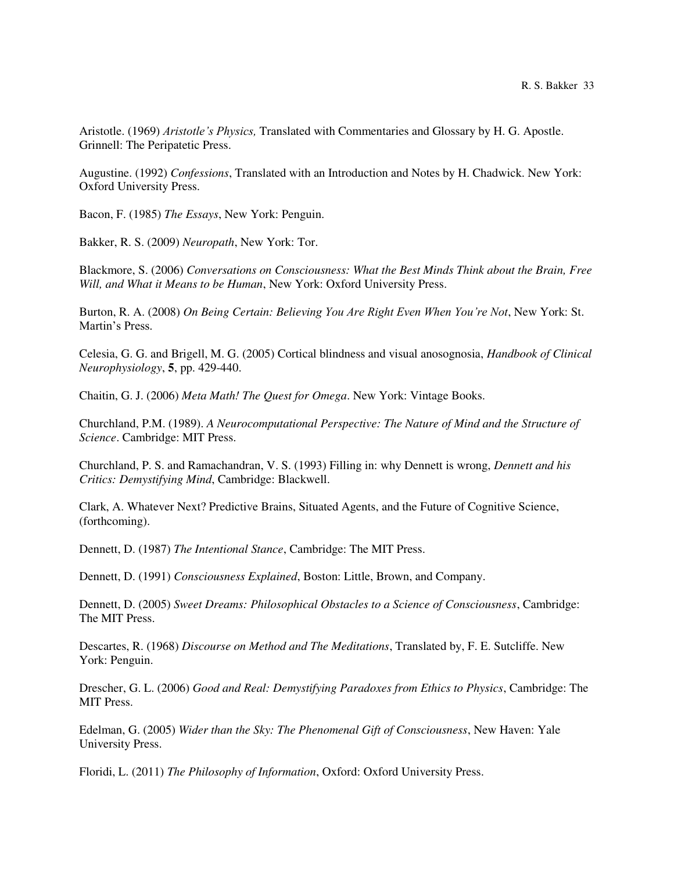Aristotle. (1969) *Aristotle's Physics,* Translated with Commentaries and Glossary by H. G. Apostle. Grinnell: The Peripatetic Press.

Augustine. (1992) *Confessions*, Translated with an Introduction and Notes by H. Chadwick. New York: Oxford University Press.

Bacon, F. (1985) *The Essays*, New York: Penguin.

Bakker, R. S. (2009) *Neuropath*, New York: Tor.

Blackmore, S. (2006) *Conversations on Consciousness: What the Best Minds Think about the Brain, Free Will, and What it Means to be Human*, New York: Oxford University Press.

Burton, R. A. (2008) *On Being Certain: Believing You Are Right Even When You're Not*, New York: St. Martin's Press.

Celesia, G. G. and Brigell, M. G. (2005) Cortical blindness and visual anosognosia, *Handbook of Clinical Neurophysiology*, **5**, pp. 429-440.

Chaitin, G. J. (2006) *Meta Math! The Quest for Omega*. New York: Vintage Books.

Churchland, P.M. (1989). *A Neurocomputational Perspective: The Nature of Mind and the Structure of Science*. Cambridge: MIT Press.

Churchland, P. S. and Ramachandran, V. S. (1993) Filling in: why Dennett is wrong, *Dennett and his Critics: Demystifying Mind*, Cambridge: Blackwell.

Clark, A. Whatever Next? Predictive Brains, Situated Agents, and the Future of Cognitive Science, (forthcoming).

Dennett, D. (1987) *The Intentional Stance*, Cambridge: The MIT Press.

Dennett, D. (1991) *Consciousness Explained*, Boston: Little, Brown, and Company.

Dennett, D. (2005) *Sweet Dreams: Philosophical Obstacles to a Science of Consciousness*, Cambridge: The MIT Press.

Descartes, R. (1968) *Discourse on Method and The Meditations*, Translated by, F. E. Sutcliffe. New York: Penguin.

Drescher, G. L. (2006) *Good and Real: Demystifying Paradoxes from Ethics to Physics*, Cambridge: The MIT Press.

Edelman, G. (2005) *Wider than the Sky: The Phenomenal Gift of Consciousness*, New Haven: Yale University Press.

Floridi, L. (2011) *The Philosophy of Information*, Oxford: Oxford University Press.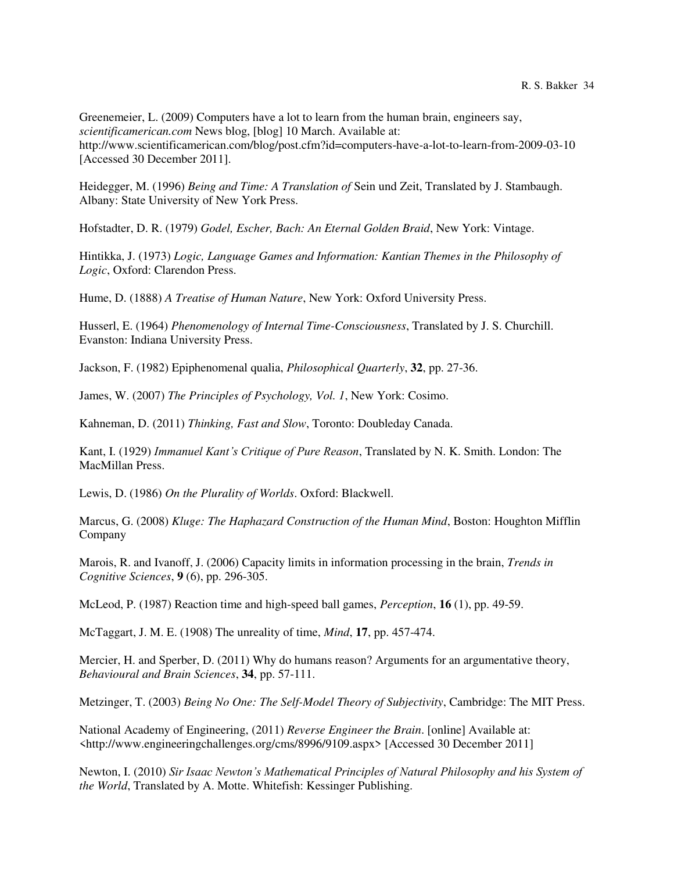Greenemeier, L. (2009) Computers have a lot to learn from the human brain, engineers say, *scientificamerican.com* News blog, [blog] 10 March. Available at: http://www.scientificamerican.com/blog/post.cfm?id=computers-have-a-lot-to-learn-from-2009-03-10 [Accessed 30 December 2011].

Heidegger, M. (1996) *Being and Time: A Translation of* Sein und Zeit, Translated by J. Stambaugh. Albany: State University of New York Press.

Hofstadter, D. R. (1979) *Godel, Escher, Bach: An Eternal Golden Braid*, New York: Vintage.

Hintikka, J. (1973) *Logic, Language Games and Information: Kantian Themes in the Philosophy of Logic*, Oxford: Clarendon Press.

Hume, D. (1888) *A Treatise of Human Nature*, New York: Oxford University Press.

Husserl, E. (1964) *Phenomenology of Internal Time-Consciousness*, Translated by J. S. Churchill. Evanston: Indiana University Press.

Jackson, F. (1982) Epiphenomenal qualia, *Philosophical Quarterly*, **32**, pp. 27-36.

James, W. (2007) *The Principles of Psychology, Vol. 1*, New York: Cosimo.

Kahneman, D. (2011) *Thinking, Fast and Slow*, Toronto: Doubleday Canada.

Kant, I. (1929) *Immanuel Kant's Critique of Pure Reason*, Translated by N. K. Smith. London: The MacMillan Press.

Lewis, D. (1986) *On the Plurality of Worlds*. Oxford: Blackwell.

Marcus, G. (2008) *Kluge: The Haphazard Construction of the Human Mind*, Boston: Houghton Mifflin Company

Marois, R. and Ivanoff, J. (2006) Capacity limits in information processing in the brain, *Trends in Cognitive Sciences*, **9** (6), pp. 296-305.

McLeod, P. (1987) Reaction time and high-speed ball games, *Perception*, **16** (1), pp. 49-59.

McTaggart, J. M. E. (1908) The unreality of time, *Mind*, **17**, pp. 457-474.

Mercier, H. and Sperber, D. (2011) Why do humans reason? Arguments for an argumentative theory, *Behavioural and Brain Sciences*, **34**, pp. 57-111.

Metzinger, T. (2003) *Being No One: The Self-Model Theory of Subjectivity*, Cambridge: The MIT Press.

National Academy of Engineering, (2011) *Reverse Engineer the Brain*. [online] Available at: <http://www.engineeringchallenges.org/cms/8996/9109.aspx> [Accessed 30 December 2011]

Newton, I. (2010) *Sir Isaac Newton's Mathematical Principles of Natural Philosophy and his System of the World*, Translated by A. Motte. Whitefish: Kessinger Publishing.